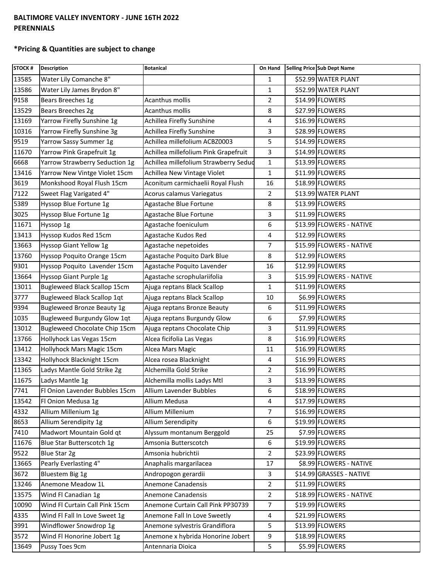## **BALTIMORE VALLEY INVENTORY - JUNE 16TH 2022 PERENNIALS**

## **\*Pricing & Quantities are subject to change**

| <b>STOCK#</b> | <b>Description</b>                  | <b>Botanical</b>                      | On Hand        | Selling Price Sub Dept Name |
|---------------|-------------------------------------|---------------------------------------|----------------|-----------------------------|
| 13585         | Water Lily Comanche 8"              |                                       | $\mathbf{1}$   | \$52.99 WATER PLANT         |
| 13586         | Water Lily James Brydon 8"          |                                       | $\mathbf 1$    | \$52.99 WATER PLANT         |
| 9158          | Bears Breeches 1g                   | Acanthus mollis                       | $\overline{2}$ | \$14.99 FLOWERS             |
| 13529         | Bears Breeches 2g                   | Acanthus mollis                       | 8              | \$27.99 FLOWERS             |
| 13169         | Yarrow Firefly Sunshine 1g          | Achillea Firefly Sunshine             | 4              | \$16.99 FLOWERS             |
| 10316         | Yarrow Firefly Sunshine 3g          | Achillea Firefly Sunshine             | 3              | \$28.99 FLOWERS             |
| 9519          | Yarrow Sassy Summer 1g              | Achillea millefolium ACBZ0003         | 5              | \$14.99 FLOWERS             |
| 11670         | Yarrow Pink Grapefruit 1g           | Achillea millefolium Pink Grapefruit  | 3              | \$14.99 FLOWERS             |
| 6668          | Yarrow Strawberry Seduction 1g      | Achillea millefolium Strawberry Sedud | $\mathbf{1}$   | \$13.99 FLOWERS             |
| 13416         | Yarrow New Vintge Violet 15cm       | Achillea New Vintage Violet           | $\mathbf{1}$   | \$11.99 FLOWERS             |
| 3619          | Monkshood Royal Flush 15cm          | Aconitum carmichaelii Royal Flush     | 16             | \$18.99 FLOWERS             |
| 7122          | Sweet Flag Varigated 4"             | Acorus calamus Variegatus             | $\overline{2}$ | \$13.99 WATER PLANT         |
| 5389          | Hyssop Blue Fortune 1g              | Agastache Blue Fortune                | 8              | \$13.99 FLOWERS             |
| 3025          | Hyssop Blue Fortune 1g              | Agastache Blue Fortune                | 3              | \$11.99 FLOWERS             |
| 11671         | Hyssop 1g                           | Agastache foeniculum                  | 6              | \$13.99 FLOWERS - NATIVE    |
| 13413         | Hyssop Kudos Red 15cm               | Agastache Kudos Red                   | 4              | \$12.99 FLOWERS             |
| 13663         | Hyssop Giant Yellow 1g              | Agastache nepetoides                  | $\overline{7}$ | \$15.99 FLOWERS - NATIVE    |
| 13760         | Hyssop Poquito Orange 15cm          | Agastache Poquito Dark Blue           | 8              | \$12.99 FLOWERS             |
| 9301          | Hyssop Poquito Lavender 15cm        | Agastache Poquito Lavender            | 16             | \$12.99 FLOWERS             |
| 13664         | Hyssop Giant Purple 1g              | Agastache scrophulariifolia           | 3              | \$15.99 FLOWERS - NATIVE    |
| 13011         | <b>Bugleweed Black Scallop 15cm</b> | Ajuga reptans Black Scallop           | $\mathbf{1}$   | \$11.99 FLOWERS             |
| 3777          | <b>Bugleweed Black Scallop 1qt</b>  | Ajuga reptans Black Scallop           | 10             | \$6.99 FLOWERS              |
| 9394          | <b>Bugleweed Bronze Beauty 1g</b>   | Ajuga reptans Bronze Beauty           | 6              | \$11.99 FLOWERS             |
| 1035          | Bugleweed Burgundy Glow 1qt         | Ajuga reptans Burgundy Glow           | 6              | \$7.99 FLOWERS              |
| 13012         | Bugleweed Chocolate Chip 15cm       | Ajuga reptans Chocolate Chip          | 3              | \$11.99 FLOWERS             |
| 13766         | Hollyhock Las Vegas 15cm            | Alcea ficifolia Las Vegas             | 8              | \$16.99 FLOWERS             |
| 13412         | Hollyhock Mars Magic 15cm           | Alcea Mars Magic                      | 11             | \$16.99 FLOWERS             |
| 13342         | Hollyhock Blacknight 15cm           | Alcea rosea Blacknight                | 4              | \$16.99 FLOWERS             |
| 11365         | Ladys Mantle Gold Strike 2g         | Alchemilla Gold Strike                | $\overline{2}$ | \$16.99 FLOWERS             |
| 11675         | Ladys Mantle 1g                     | Alchemilla mollis Ladys Mtl           | 3              | \$13.99 FLOWERS             |
| 7741          | Fl Onion Lavender Bubbles 15cm      | Allium Lavender Bubbles               | 6              | \$18.99 FLOWERS             |
| 13542         | Fl Onion Medusa 1g                  | Allium Medusa                         | 4              | \$17.99 FLOWERS             |
| 4332          | Allium Millenium 1g                 | Allium Millenium                      | 7              | \$16.99 FLOWERS             |
| 8653          | Allium Serendipity 1g               | Allium Serendipity                    | 6              | \$19.99 FLOWERS             |
| 7410          | Madwort Mountain Gold qt            | Alyssum montanum Berggold             | 25             | \$7.99 FLOWERS              |
| 11676         | Blue Star Butterscotch 1g           | Amsonia Butterscotch                  | 6              | \$19.99 FLOWERS             |
| 9522          | Blue Star 2g                        | Amsonia hubrichtii                    | $\overline{2}$ | \$23.99 FLOWERS             |
| 13665         | Pearly Everlasting 4"               | Anaphalis margarilacea                | 17             | \$8.99 FLOWERS - NATIVE     |
| 3672          | Bluestem Big 1g                     | Andropogon gerardii                   | 3              | \$14.99 GRASSES - NATIVE    |
| 13246         | Anemone Meadow 1L                   | Anemone Canadensis                    | $\overline{2}$ | \$11.99 FLOWERS             |
| 13575         | Wind Fl Canadian 1g                 | Anemone Canadensis                    | $\overline{2}$ | \$18.99 FLOWERS - NATIVE    |
| 10090         | Wind Fl Curtain Call Pink 15cm      | Anemone Curtain Call Pink PP30739     | $\overline{7}$ | \$19.99 FLOWERS             |
| 4335          | Wind Fl Fall In Love Sweet 1g       | Anemone Fall In Love Sweetly          | $\overline{4}$ | \$21.99 FLOWERS             |
| 3991          | Windflower Snowdrop 1g              | Anemone sylvestris Grandiflora        | 5              | \$13.99 FLOWERS             |
| 3572          | Wind Fl Honorine Jobert 1g          | Anemone x hybrida Honorine Jobert     | 9              | \$18.99 FLOWERS             |
| 13649         | Pussy Toes 9cm                      | Antennaria Dioica                     | 5              | \$5.99 FLOWERS              |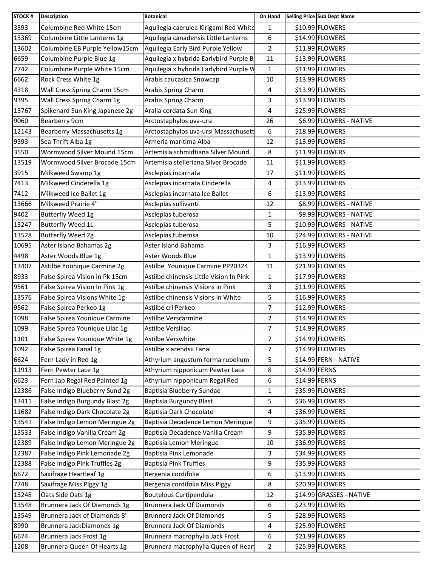| <b>STOCK#</b> | <b>Description</b>             | <b>Botanical</b>                        | On Hand        |               | Selling Price Sub Dept Name |
|---------------|--------------------------------|-----------------------------------------|----------------|---------------|-----------------------------|
| 3593          | Columbine Red White 15cm       | Aquilegia caerulea Kirigami Red White   | 1              |               | \$10.99 FLOWERS             |
| 13369         | Columbine Little Lanterns 1g   | Aquilegia canadensis Little Lanterns    | 6              |               | \$14.99 FLOWERS             |
| 13602         | Columbine EB Purple Yellow15cm | Aquilegia Early Bird Purple Yellow      | $\overline{2}$ |               | \$11.99 FLOWERS             |
| 6659          | Columbine Purple Blue 1g       | Aquilegia x hybrida Earlybird Purple B  | 11             |               | \$13.99 FLOWERS             |
| 7742          | Columbine Purple White 15cm    | Aquilegia x hybrida Earlybird Purple V  | 1              |               | \$11.99 FLOWERS             |
| 6662          | Rock Cress White 1g            | Arabis caucasica Snowcap                | 10             |               | \$13.99 FLOWERS             |
| 4318          | Wall Cress Spring Charm 15cm   | Arabis Spring Charm                     | 4              |               | \$13.99 FLOWERS             |
| 9395          | Wall Cress Spring Charm 1g     | Arabis Spring Charm                     | 3              |               | \$13.99 FLOWERS             |
| 13767         | Spikenard Sun King Japanese 2g | Aralia cordata Sun King                 | 4              |               | \$25.99 FLOWERS             |
| 9060          | Bearberry 9cm                  | Arctostaphylos uva-ursi                 | 26             |               | \$6.99 FLOWERS - NATIVE     |
| 12143         | Bearberry Massachusetts 1g     | Arctostaphylos uva-ursi Massachusett    | 6              |               | \$18.99 FLOWERS             |
| 9393          | Sea Thrift Alba 1g             | Armeria maritima Alba                   | 12             |               | \$13.99 FLOWERS             |
| 3550          | Wormwood Silver Mound 15cm     | Artemisia schmidtiana Silver Mound      | 8              |               | \$11.99 FLOWERS             |
| 13519         | Wormwood Silver Brocade 15cm   | Artemisia stelleriana Silver Brocade    | 11             |               | \$11.99 FLOWERS             |
| 3915          | Milkweed Swamp 1g              | Asclepias incarnata                     | 17             |               | \$11.99 FLOWERS             |
| 7413          | Milkweed Cinderella 1g         | Asclepias incarnata Cinderella          | 4              |               | \$13.99 FLOWERS             |
| 7412          | Milkweed Ice Ballet 1g         | Asclepias incarnata Ice Ballet          | 6              |               | \$13.99 FLOWERS             |
| 13666         | Milkweed Prairie 4"            | Asclepias sullivanti                    | 12             |               | \$8.99 FLOWERS - NATIVE     |
| 9402          | Butterfly Weed 1g              | Asclepias tuberosa                      | 1              |               | \$9.99 FLOWERS - NATIVE     |
| 13247         | <b>Butterfly Weed 1L</b>       | Asclepias tuberosa                      | 5              |               | \$10.99 FLOWERS - NATIVE    |
| 13528         | Butterfly Weed 2g              | Asclepias tuberosa                      | 10             |               | \$24.99 FLOWERS - NATIVE    |
| 10695         | Aster Island Bahamas 2g        | Aster Island Bahama                     | 3              |               | \$16.99 FLOWERS             |
| 4498          | Aster Woods Blue 1g            | Aster Woods Blue                        | $\mathbf{1}$   |               | \$13.99 FLOWERS             |
| 13407         | Astilbe Younique Carmine 2g    | Astilbe Younique Carmine PP20324        | 11             |               | \$21.99 FLOWERS             |
| 8933          | False Spirea Vision in Pk 15cm | Astilbe chinensis Little Vision In Pink | 1              |               | \$17.99 FLOWERS             |
| 9561          | False Spirea Vision In Pink 1g | Astilbe chinensis Visions in Pink       | 3              |               | \$11.99 FLOWERS             |
| 13576         | False Spirea Visions White 1g  | Astilbe chinensis Visions in White      | 5              |               | \$16.99 FLOWERS             |
| 9562          | False Spirea Perkeo 1g         | Astilbe cri Perkeo                      | $\overline{7}$ |               | \$12.99 FLOWERS             |
| 1098          | False Spirea Younique Carmine  | Astilbe Verscarmine                     | $\overline{2}$ |               | \$14.99 FLOWERS             |
| 1099          | False Spirea Younique Lilac 1g | Astilbe Verslilac                       | 7              |               | \$14.99 FLOWERS             |
| 1101          | False Spirea Younique White 1g | Astilbe Verswhite                       | $\overline{7}$ |               | \$14.99 FLOWERS             |
| 1092          | False Spirea Fanal 1g          | Astilbe x arendsii Fanal                | $\overline{7}$ |               | \$14.99 FLOWERS             |
| 6624          | Fern Lady in Red 1g            | Athyrium angustum forma rubellum        | 5              |               | \$14.99 FERN - NATIVE       |
| 11913         | Fern Pewter Lace 1g            | Athyrium nipponicum Pewter Lace         | 8              | \$14.99 FERNS |                             |
| 6623          | Fern Jap Regal Red Painted 1g  | Athyrium nipponicum Regal Red           | 6              | \$14.99 FERNS |                             |
| 12386         | False Indigo Blueberry Sund 2g | Baptisia Blueberry Sundae               | 1              |               | \$35.99 FLOWERS             |
| 13411         | False Indigo Burgundy Blast 2g | Baptisia Burgundy Blast                 | 5              |               | \$36.99 FLOWERS             |
| 11682         | False Indigo Dark Chocolate 2g | Baptisia Dark Chocolate                 | 4              |               | \$36.99 FLOWERS             |
| 13541         | False Indigo Lemon Meringue 2g | Baptisia Decadence Lemon Meringue       | 9              |               | \$35.99 FLOWERS             |
| 13533         | False Indigo Vanilla Cream 2g  | Baptisia Decadence Vanilla Cream        | 9              |               | \$35.99 FLOWERS             |
| 12389         | False Indigo Lemon Meringue 2g | Baptisia Lemon Meringue                 | 10             |               | \$36.99 FLOWERS             |
| 12387         | False Indigo Pink Lemonade 2g  | Baptisia Pink Lemonade                  | 3              |               | \$34.99 FLOWERS             |
| 12388         | False Indigo Pink Truffles 2g  | <b>Baptisia Pink Truffles</b>           | 9              |               | \$35.99 FLOWERS             |
| 6672          | Saxifrage Heartleaf 1g         | Bergenia cordifolia                     | 6              |               | \$13.99 FLOWERS             |
| 7748          | Saxifrage Miss Piggy 1g        | Bergenia cordifolia Miss Piggy          | 8              |               | \$20.99 FLOWERS             |
| 13248         | Oats Side Oats 1g              | <b>Boutelous Curtipendula</b>           | 12             |               | \$14.99 GRASSES - NATIVE    |
| 13548         | Brunnera Jack Of Diamonds 1g   | Brunnera Jack Of Diamonds               | 6              |               | \$23.99 FLOWERS             |
| 13549         | Brunnera Jack of Diamonds 8"   | Brunnera Jack Of Diamonds               | 5              |               | \$28.99 FLOWERS             |
| 8990          | Brunnera JackDiamonds 1g       | <b>Brunnera Jack Of Diamonds</b>        | 4              |               | \$25.99 FLOWERS             |
| 6674          | Brunnera Jack Frost 1g         | Brunnera macrophylla Jack Frost         | 6              |               | \$21.99 FLOWERS             |
| 1208          | Brunnera Queen Of Hearts 1g    | Brunnera macrophylla Queen of Hear      | 2              |               | \$25.99 FLOWERS             |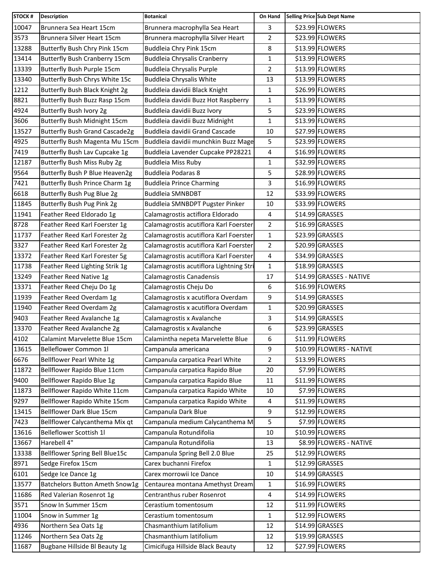| STOCK # | <b>Description</b>                    | <b>Botanical</b>                        | On Hand        | Selling Price Sub Dept Name |
|---------|---------------------------------------|-----------------------------------------|----------------|-----------------------------|
| 10047   | Brunnera Sea Heart 15cm               | Brunnera macrophylla Sea Heart          | 3              | \$23.99 FLOWERS             |
| 3573    | Brunnera Silver Heart 15cm            | Brunnera macrophylla Silver Heart       | 2              | \$23.99 FLOWERS             |
| 13288   | Butterfly Bush Chry Pink 15cm         | Buddleia Chry Pink 15cm                 | 8              | \$13.99 FLOWERS             |
| 13414   | <b>Butterfly Bush Cranberry 15cm</b>  | <b>Buddleia Chrysalis Cranberry</b>     | 1              | \$13.99 FLOWERS             |
| 13339   | Butterfly Bush Purple 15cm            | Buddleia Chrysalis Purple               | $\overline{2}$ | \$13.99 FLOWERS             |
| 13340   | Butterfly Bush Chrys White 15c        | <b>Buddleia Chrysalis White</b>         | 13             | \$13.99 FLOWERS             |
| 1212    | Butterfly Bush Black Knight 2g        | Buddleia davidii Black Knight           | 1              | \$26.99 FLOWERS             |
| 8821    | Butterfly Bush Buzz Rasp 15cm         | Buddleia davidii Buzz Hot Raspberry     | $\mathbf 1$    | \$13.99 FLOWERS             |
| 4924    | Butterfly Bush Ivory 2g               | Buddleia davidii Buzz Ivory             | 5              | \$23.99 FLOWERS             |
| 3606    | Butterfly Bush Midnight 15cm          | Buddleia davidii Buzz Midnight          | $\mathbf{1}$   | \$13.99 FLOWERS             |
| 13527   | <b>Butterfly Bush Grand Cascade2g</b> | Buddleia davidii Grand Cascade          | 10             | \$27.99 FLOWERS             |
| 4925    | Butterfly Bush Magenta Mu 15cm        | Buddleia davidii munchkin Buzz Mage     | 5              | \$23.99 FLOWERS             |
| 7419    | Butterfly Bush Lav Cupcake 1g         | Buddleia Lavender Cupcake PP28221       | 4              | \$16.99 FLOWERS             |
| 12187   | Butterfly Bush Miss Ruby 2g           | <b>Buddleia Miss Ruby</b>               | 1              | \$32.99 FLOWERS             |
| 9564    | Butterfly Bush P Blue Heaven2g        | <b>Buddleia Podaras 8</b>               | 5              | \$28.99 FLOWERS             |
| 7421    | Butterfly Bush Prince Charm 1g        | <b>Buddleia Prince Charming</b>         | 3              | \$16.99 FLOWERS             |
| 6618    | Butterfly Bush Pug Blue 2g            | <b>Buddleia SMNBDBT</b>                 | 12             | \$33.99 FLOWERS             |
| 11845   | Butterfly Bush Pug Pink 2g            | Buddleia SMNBDPT Pugster Pinker         | 10             | \$33.99 FLOWERS             |
| 11941   | Feather Reed Eldorado 1g              | Calamagrostis actiflora Eldorado        | 4              | \$14.99 GRASSES             |
| 8728    | Feather Reed Karl Foerster 1g         | Calamagrostis acutiflora Karl Foerster  | $\overline{2}$ | \$16.99 GRASSES             |
| 11737   | Feather Reed Karl Forester 2g         | Calamagrostis acutiflora Karl Foerster  | 1              | \$23.99 GRASSES             |
| 3327    | Feather Reed Karl Forester 2g         | Calamagrostis acutiflora Karl Foerster  | $\overline{2}$ | \$20.99 GRASSES             |
| 13372   | Feather Reed Karl Forester 5g         | Calamagrostis acutiflora Karl Foerster  | 4              | \$34.99 GRASSES             |
| 11738   | Feather Reed Lighting Strik 1g        | Calamagrostis acutiflora Lightning Stri | $\mathbf{1}$   | \$18.99 GRASSES             |
| 13249   | Feather Reed Native 1g                | Calamagrostis Canadensis                | 17             | \$14.99 GRASSES - NATIVE    |
| 13371   | Feather Reed Cheju Do 1g              | Calamagrostis Cheju Do                  | 6              | \$16.99 FLOWERS             |
| 11939   | Feather Reed Overdam 1g               | Calamagrostis x acutiflora Overdam      | 9              | \$14.99 GRASSES             |
| 11940   | Feather Reed Overdam 2g               | Calamagrostis x acutiflora Overdam      | $\mathbf 1$    | \$20.99 GRASSES             |
| 9403    | Feather Reed Avalanche 1g             | Calamagrostis x Avalanche               | 3              | $$14.99$ GRASSES            |
| 13370   | Feather Reed Avalanche 2g             | Calamagrostis x Avalanche               | 6              | \$23.99 GRASSES             |
| 4102    | Calamint Marvelette Blue 15cm         | Calamintha nepeta Marvelette Blue       | 6              | \$11.99 FLOWERS             |
| 13615   | Belleflower Common 1l                 | Campanula americana                     | 9              | \$10.99 FLOWERS - NATIVE    |
| 6676    | Bellflower Pearl White 1g             | Campanula carpatica Pearl White         | 2              | \$13.99 FLOWERS             |
| 11872   | Bellflower Rapido Blue 11cm           | Campanula carpatica Rapido Blue         | 20             | \$7.99 FLOWERS              |
| 9400    | Bellflower Rapido Blue 1g             | Campanula carpatica Rapido Blue         | 11             | \$11.99 FLOWERS             |
| 11873   | Bellflower Rapido White 11cm          | Campanula carpatica Rapido White        | 10             | \$7.99 FLOWERS              |
| 9297    | Bellflower Rapido White 15cm          | Campanula carpatica Rapido White        | 4              | \$11.99 FLOWERS             |
| 13415   | Bellflower Dark Blue 15cm             | Campanula Dark Blue                     | 9              | \$12.99 FLOWERS             |
| 7423    | Bellflower Calycanthema Mix qt        | Campanula medium Calycanthema M         | 5              | \$7.99 FLOWERS              |
| 13616   | Belleflower Scottish 1l               | Campanula Rotundifolia                  | 10             | \$10.99 FLOWERS             |
| 13667   | Harebell 4"                           | Campanula Rotundifolia                  | 13             | \$8.99 FLOWERS - NATIVE     |
| 13338   | Bellflower Spring Bell Blue15c        | Campanula Spring Bell 2.0 Blue          | 25             | \$12.99 FLOWERS             |
| 8971    | Sedge Firefox 15cm                    | Carex buchanni Firefox                  | $\mathbf{1}$   | \$12.99 GRASSES             |
| 6101    | Sedge Ice Dance 1g                    | Carex morrowii Ice Dance                | 10             | \$14.99 GRASSES             |
| 13577   | Batchelors Button Ameth Snow1g        | Centaurea montana Amethyst Dream        | 1              | \$16.99 FLOWERS             |
| 11686   | Red Valerian Rosenrot 1g              | Centranthus ruber Rosenrot              | 4              | \$14.99 FLOWERS             |
| 3571    | Snow In Summer 15cm                   | Cerastium tomentosum                    | 12             | \$11.99 FLOWERS             |
| 11004   | Snow in Summer 1g                     | Cerastium tomentosum                    | $\mathbf{1}$   | \$12.99 FLOWERS             |
| 4936    | Northern Sea Oats 1g                  | Chasmanthium latifolium                 | 12             | $$14.99$ GRASSES            |
| 11246   | Northern Sea Oats 2g                  | Chasmanthium latifolium                 | 12             | \$19.99 GRASSES             |
| 11687   | Bugbane Hillside Bl Beauty 1g         | Cimicifuga Hillside Black Beauty        | 12             | \$27.99 FLOWERS             |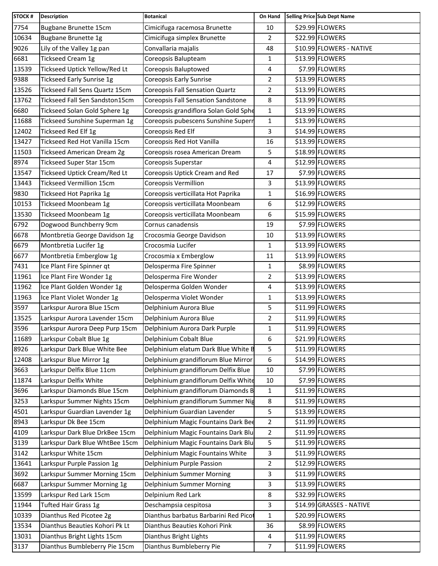| STOCK # | <b>Description</b>                    | <b>Botanical</b>                       | On Hand        | Selling Price Sub Dept Name |
|---------|---------------------------------------|----------------------------------------|----------------|-----------------------------|
| 7754    | <b>Bugbane Brunette 15cm</b>          | Cimicifuga racemosa Brunette           | 10             | \$29.99 FLOWERS             |
| 10634   | <b>Bugbane Brunette 1g</b>            | Cimicifuga simplex Brunette            | $\overline{2}$ | \$22.99 FLOWERS             |
| 9026    | Lily of the Valley 1g pan             | Convallaria majalis                    | 48             | \$10.99 FLOWERS - NATIVE    |
| 6681    | Tickseed Cream 1g                     | Coreopsis Balupteam                    | 1              | \$13.99 FLOWERS             |
| 13539   | Tickseed Uptick Yellow/Red Lt         | Coreopsis Baluptowed                   | 4              | \$7.99 FLOWERS              |
| 9388    | <b>Tickseed Early Sunrise 1g</b>      | Coreopsis Early Sunrise                | $\overline{2}$ | \$13.99 FLOWERS             |
| 13526   | <b>Tickseed Fall Sens Quartz 15cm</b> | <b>Coreopsis Fall Sensation Quartz</b> | $\overline{2}$ | \$13.99 FLOWERS             |
| 13762   | Tickseed Fall Sen Sandston15cm        | Coreopsis Fall Sensation Sandstone     | 8              | \$13.99 FLOWERS             |
| 6680    | Tickseed Solan Gold Sphere 1g         | Coreopsis grandiflora Solan Gold Sphe  | 1              | \$13.99 FLOWERS             |
| 11688   | Tickseed Sunshine Superman 1g         | Coreopsis pubescens Sunshine Superr    | $\mathbf{1}$   | \$13.99 FLOWERS             |
| 12402   | Tickseed Red Elf 1g                   | Coreopsis Red Elf                      | 3              | \$14.99 FLOWERS             |
| 13427   | Tickseed Red Hot Vanilla 15cm         | Coreopsis Red Hot Vanilla              | 16             | \$13.99 FLOWERS             |
| 11503   | <b>Tickseed American Dream 2g</b>     | Coreopsis rosea American Dream         | 5              | \$18.99 FLOWERS             |
| 8974    | Tickseed Super Star 15cm              | Coreopsis Superstar                    | 4              | \$12.99 FLOWERS             |
| 13547   | Tickseed Uptick Cream/Red Lt          | Coreopsis Uptick Cream and Red         | 17             | \$7.99 FLOWERS              |
| 13443   | <b>Tickseed Vermillion 15cm</b>       | Coreopsis Vermillion                   | 3              | \$13.99 FLOWERS             |
| 9830    | Tickseed Hot Paprika 1g               | Coreopsis verticillata Hot Paprika     | 1              | \$16.99 FLOWERS             |
| 10153   | <b>Tickseed Moonbeam 1g</b>           | Coreopsis verticillata Moonbeam        | 6              | \$12.99 FLOWERS             |
| 13530   | <b>Tickseed Moonbeam 1g</b>           | Coreopsis verticillata Moonbeam        | 6              | \$15.99 FLOWERS             |
| 6792    | Dogwood Bunchberry 9cm                | Cornus canadensis                      | 19             | \$7.99 FLOWERS              |
| 6678    | Montbretia George Davidson 1g         | Crocosmia George Davidson              | 10             | \$13.99 FLOWERS             |
| 6679    | Montbretia Lucifer 1g                 | Crocosmia Lucifer                      | 1              | \$13.99 FLOWERS             |
| 6677    | Montbretia Emberglow 1g               | Crocosmia x Emberglow                  | 11             | \$13.99 FLOWERS             |
| 7431    | Ice Plant Fire Spinner qt             | Delosperma Fire Spinner                | 1              | \$8.99 FLOWERS              |
| 11961   | Ice Plant Fire Wonder 1g              | Delosperma Fire Wonder                 | $\overline{2}$ | \$13.99 FLOWERS             |
| 11962   | Ice Plant Golden Wonder 1g            | Delosperma Golden Wonder               | 4              | \$13.99 FLOWERS             |
| 11963   | Ice Plant Violet Wonder 1g            | Delosperma Violet Wonder               | 1              | \$13.99 FLOWERS             |
| 3597    | Larkspur Aurora Blue 15cm             | Delphinium Aurora Blue                 | 5              | \$11.99 FLOWERS             |
| 13525   | Larkspur Aurora Lavender 15cm         | Delphinium Aurora Blue                 | $\overline{2}$ | \$11.99 FLOWERS             |
| 3596    | Larkspur Aurora Deep Purp 15cm        | Delphinium Aurora Dark Purple          | $\mathbf 1$    | \$11.99 FLOWERS             |
| 11689   | Larkspur Cobalt Blue 1g               | Delphinium Cobalt Blue                 | 6              | \$21.99 FLOWERS             |
| 8926    | Larkspur Dark Blue White Bee          | Delphinium elatum Dark Blue White B    | 5              | \$11.99 FLOWERS             |
| 12408   | Larkspur Blue Mirror 1g               | Delphinium grandiflorum Blue Mirror    | 6              | \$14.99 FLOWERS             |
| 3663    | Larkspur Delfix Blue 11cm             | Delphinium grandiflorum Delfix Blue    | 10             | \$7.99 FLOWERS              |
| 11874   | Larkspur Delfix White                 | Delphinium grandiflorum Delfix White   | 10             | \$7.99 FLOWERS              |
| 3696    | Larkspur Diamonds Blue 15cm           | Delphinium grandiflorum Diamonds B     | 1              | \$11.99 FLOWERS             |
| 3253    | Larkspur Summer Nights 15cm           | Delphinium grandiflorum Summer Nig     | 8              | \$11.99 FLOWERS             |
| 4501    | Larkspur Guardian Lavender 1g         | Delphinium Guardian Lavender           | 5              | \$13.99 FLOWERS             |
| 8943    | Larkspur Dk Bee 15cm                  | Delphinium Magic Fountains Dark Bee    | $\overline{2}$ | \$11.99 FLOWERS             |
| 4109    | Larkspur Dark Blue DrkBee 15cm        | Delphinium Magic Fountains Dark Blu    | $\overline{2}$ | \$11.99 FLOWERS             |
| 3139    | Larkspur Dark Blue WhtBee 15cm        | Delphinium Magic Fountains Dark Blu    | 5              | \$11.99 FLOWERS             |
| 3142    | Larkspur White 15cm                   | Delphinium Magic Fountains White       | 3              | \$11.99 FLOWERS             |
| 13641   | Larkspur Purple Passion 1g            | Delphinium Purple Passion              | 2              | \$12.99 FLOWERS             |
| 3692    | Larkspur Summer Morning 15cm          | Delphinium Summer Morning              | 3              | \$11.99 FLOWERS             |
| 6687    | Larkspur Summer Morning 1g            | Delphinium Summer Morning              | 3              | \$13.99 FLOWERS             |
| 13599   | Larkspur Red Lark 15cm                | Delpinium Red Lark                     | 8              | \$32.99 FLOWERS             |
| 11944   | Tufted Hair Grass 1g                  | Deschampsia cespitosa                  | 3              | \$14.99 GRASSES - NATIVE    |
| 10339   | Dianthus Red Picotee 2g               | Dianthus barbatus Barbarini Red Picot  | 1              | \$20.99 FLOWERS             |
| 13534   | Dianthus Beauties Kohori Pk Lt        | Dianthus Beauties Kohori Pink          | 36             | \$8.99 FLOWERS              |
| 13031   | Dianthus Bright Lights 15cm           | Dianthus Bright Lights                 | 4              | \$11.99 FLOWERS             |
| 3137    | Dianthus Bumbleberry Pie 15cm         | Dianthus Bumbleberry Pie               | $\overline{7}$ | \$11.99 FLOWERS             |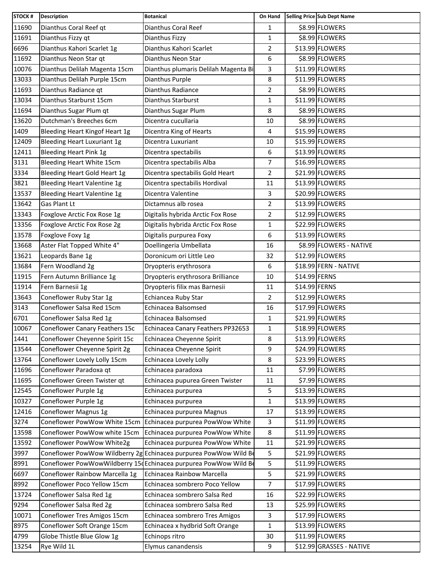| <b>STOCK#</b> | <b>Description</b>                    | <b>Botanical</b>                                                 | On Hand        |               | Selling Price Sub Dept Name |
|---------------|---------------------------------------|------------------------------------------------------------------|----------------|---------------|-----------------------------|
| 11690         | Dianthus Coral Reef qt                | Dianthus Coral Reef                                              | $\mathbf{1}$   |               | \$8.99 FLOWERS              |
| 11691         | Dianthus Fizzy qt                     | Dianthus Fizzy                                                   | $\mathbf{1}$   |               | \$8.99 FLOWERS              |
| 6696          | Dianthus Kahori Scarlet 1g            | Dianthus Kahori Scarlet                                          | $\overline{2}$ |               | \$13.99 FLOWERS             |
| 11692         | Dianthus Neon Star qt                 | Dianthus Neon Star                                               | 6              |               | \$8.99 FLOWERS              |
| 10076         | Dianthus Delilah Magenta 15cm         | Dianthus plumaris Delilah Magenta Bi                             | 3              |               | \$11.99 FLOWERS             |
| 13033         | Dianthus Delilah Purple 15cm          | Dianthus Purple                                                  | 8              |               | \$11.99 FLOWERS             |
| 11693         | Dianthus Radiance qt                  | Dianthus Radiance                                                | $\overline{2}$ |               | \$8.99 FLOWERS              |
| 13034         | Dianthus Starburst 15cm               | Dianthus Starburst                                               | 1              |               | \$11.99 FLOWERS             |
| 11694         | Dianthus Sugar Plum qt                | Dianthus Sugar Plum                                              | 8              |               | \$8.99 FLOWERS              |
| 13620         | Dutchman's Breeches 6cm               | Dicentra cucullaria                                              | 10             |               | \$8.99 FLOWERS              |
| 1409          | <b>Bleeding Heart Kingof Heart 1g</b> | Dicentra King of Hearts                                          | 4              |               | \$15.99 FLOWERS             |
| 12409         | <b>Bleeding Heart Luxuriant 1g</b>    | Dicentra Luxuriant                                               | 10             |               | \$15.99 FLOWERS             |
| 12411         | <b>Bleeding Heart Pink 1g</b>         | Dicentra spectabilis                                             | 6              |               | \$13.99 FLOWERS             |
| 3131          | Bleeding Heart White 15cm             | Dicentra spectabilis Alba                                        | 7              |               | \$16.99 FLOWERS             |
| 3334          | Bleeding Heart Gold Heart 1g          | Dicentra spectabilis Gold Heart                                  | $\overline{2}$ |               | \$21.99 FLOWERS             |
| 3821          | Bleeding Heart Valentine 1g           | Dicentra spectabilis Hordival                                    | 11             |               | \$13.99 FLOWERS             |
| 13537         | <b>Bleeding Heart Valentine 1g</b>    | Dicentra Valentine                                               | 3              |               | \$20.99 FLOWERS             |
| 13642         | Gas Plant Lt                          | Dictamnus alb rosea                                              | $\overline{2}$ |               | \$13.99 FLOWERS             |
| 13343         | Foxglove Arctic Fox Rose 1g           | Digitalis hybrida Arctic Fox Rose                                | $\overline{2}$ |               | \$12.99 FLOWERS             |
| 13356         | Foxglove Arctic Fox Rose 2g           | Digitalis hybrida Arctic Fox Rose                                | 1              |               | \$22.99 FLOWERS             |
| 13578         | Foxglove Foxy 1g                      | Digitalis purpurea Foxy                                          | 6              |               | \$13.99 FLOWERS             |
| 13668         | Aster Flat Topped White 4"            | Doellingeria Umbellata                                           | 16             |               | \$8.99 FLOWERS - NATIVE     |
| 13621         | Leopards Bane 1g                      | Doronicum ori Little Leo                                         | 32             |               | \$12.99 FLOWERS             |
| 13684         | Fern Woodland 2g                      | Dryopteris erythrosora                                           | 6              |               | \$18.99 FERN - NATIVE       |
| 11915         | Fern Autumn Brilliance 1g             | Dryopteris erythrosora Brilliance                                | 10             | \$14.99 FERNS |                             |
| 11914         | Fern Barnesii 1g                      | Dryopteris filix mas Barnesii                                    | 11             | \$14.99 FERNS |                             |
| 13643         | Coneflower Ruby Star 1g               | Echiancea Ruby Star                                              | $\overline{2}$ |               | \$12.99 FLOWERS             |
| 3143          | Coneflower Salsa Red 15cm             | Echinacea Balsomsed                                              | 16             |               | \$17.99 FLOWERS             |
| 6701          | Coneflower Salsa Red 1g               | Echinacea Balsomsed                                              | 1              |               | \$21.99 FLOWERS             |
| 10067         | Coneflower Canary Feathers 15c        | Echinacea Canary Feathers PP32653                                | $\mathbf{1}$   |               | \$18.99 FLOWERS             |
| 1441          | Coneflower Cheyenne Spirit 15c        | Echinacea Cheyenne Spirit                                        | 8              |               | \$13.99 FLOWERS             |
| 13544         | Coneflower Cheyenne Spirit 2g         | Echinacea Cheyenne Spirit                                        | 9              |               | \$24.99 FLOWERS             |
| 13764         | Coneflower Lovely Lolly 15cm          | Echinacea Lovely Lolly                                           | 8              |               | \$23.99 FLOWERS             |
| 11696         | Coneflower Paradoxa qt                | Echinacea paradoxa                                               | 11             |               | \$7.99 FLOWERS              |
| 11695         | Coneflower Green Twister qt           | Echinacea pupurea Green Twister                                  | 11             |               | \$7.99 FLOWERS              |
| 12545         | Coneflower Purple 1g                  | Echinacea purpurea                                               | 5              |               | \$13.99 FLOWERS             |
| 10327         | Coneflower Purple 1g                  | Echinacea purpurea                                               | $\mathbf{1}$   |               | \$13.99 FLOWERS             |
| 12416         | Coneflower Magnus 1g                  | Echinacea purpurea Magnus                                        | 17             |               | \$13.99 FLOWERS             |
| 3274          |                                       | Coneflower PowWow White 15cm Echinacea purpurea PowWow White     | 3              |               | \$11.99 FLOWERS             |
| 13598         | Coneflower PowWow white 15cm          | Echinacea purpurea PowWow White                                  | 8              |               | \$11.99 FLOWERS             |
| 13592         | Coneflower PowWow White2g             | Echinacea purpurea PowWow White                                  | 11             |               | \$21.99 FLOWERS             |
| 3997          |                                       | Coneflower PowWow Wildberry 2g Echinacea purpurea PowWow Wild Be | 5              |               | \$21.99 FLOWERS             |
| 8991          |                                       | Coneflower PowWowWildberry 15 Echinacea purpurea PowWow Wild Be  | 5              |               | \$11.99 FLOWERS             |
| 6697          | Coneflower Rainbow Marcella 1g        | Echinacea Rainbow Marcella                                       | 5              |               | \$21.99 FLOWERS             |
| 8992          | Coneflower Poco Yellow 15cm           | Echinacea sombrero Poco Yellow                                   | $\overline{7}$ |               | \$17.99 FLOWERS             |
| 13724         | Coneflower Salsa Red 1g               | Echinacea sombrero Salsa Red                                     | 16             |               | \$22.99 FLOWERS             |
| 9294          | Coneflower Salsa Red 2g               | Echinacea sombrero Salsa Red                                     | 13             |               | \$25.99 FLOWERS             |
| 10071         | Coneflower Tres Amigos 15cm           | Echinacea sombrero Tres Amigos                                   | 3              |               | \$17.99 FLOWERS             |
| 8975          | Coneflower Soft Orange 15cm           | Echinacea x hydbrid Soft Orange                                  | $\mathbf{1}$   |               | \$13.99 FLOWERS             |
| 4799          | Globe Thistle Blue Glow 1g            | Echinops ritro                                                   | 30             |               | \$11.99 FLOWERS             |
| 13254         | Rye Wild 1L                           | Elymus canandensis                                               | 9              |               | \$12.99 GRASSES - NATIVE    |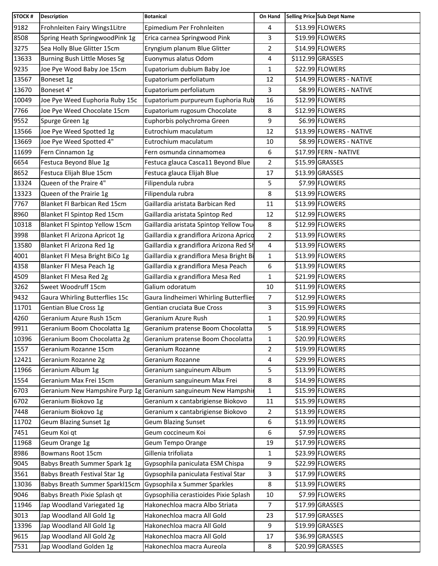| <b>STOCK#</b> | <b>Description</b>                  | <b>Botanical</b>                        | On Hand        | Selling Price Sub Dept Name |
|---------------|-------------------------------------|-----------------------------------------|----------------|-----------------------------|
| 9182          | Frohnleiten Fairy Wings1Litre       | Epimedium Per Frohnleiten               | 4              | \$13.99 FLOWERS             |
| 8508          | Spring Heath SpringwoodPink 1g      | Erica carnea Springwood Pink            | 3              | \$19.99 FLOWERS             |
| 3275          | Sea Holly Blue Glitter 15cm         | Eryngium planum Blue Glitter            | $\overline{2}$ | \$14.99 FLOWERS             |
| 13633         | <b>Burning Bush Little Moses 5g</b> | Euonymus alatus Odom                    | 4              | \$112.99 GRASSES            |
| 9235          | Joe Pye Wood Baby Joe 15cm          | Eupatorium dubium Baby Joe              | 1              | \$22.99 FLOWERS             |
| 13567         | Boneset 1g                          | Eupatorium perfoliatum                  | 12             | \$14.99 FLOWERS - NATIVE    |
| 13670         | Boneset 4"                          | Eupatorium perfoliatum                  | 3              | \$8.99 FLOWERS - NATIVE     |
| 10049         | Joe Pye Weed Euphoria Ruby 15c      | Eupatorium purpureum Euphoria Rub       | 16             | \$12.99 FLOWERS             |
| 7766          | Joe Pye Weed Chocolate 15cm         | Eupatorium rugosum Chocolate            | 8              | \$12.99 FLOWERS             |
| 9552          | Spurge Green 1g                     | Euphorbis polychroma Green              | 9              | \$6.99 FLOWERS              |
| 13566         | Joe Pye Weed Spotted 1g             | Eutrochium maculatum                    | 12             | \$13.99 FLOWERS - NATIVE    |
| 13669         | Joe Pye Weed Spotted 4"             | Eutrochium maculatum                    | 10             | \$8.99 FLOWERS - NATIVE     |
| 11699         | Fern Cinnamon 1g                    | Fern osmunda cinnamomea                 | 6              | \$17.99 FERN - NATIVE       |
| 6654          | Festuca Beyond Blue 1g              | Festuca glauca Casca11 Beyond Blue      | 2              | \$15.99 GRASSES             |
| 8652          | Festuca Elijah Blue 15cm            | Festuca glauca Elijah Blue              | 17             | \$13.99 GRASSES             |
| 13324         | Queen of the Praire 4"              | Filipendula rubra                       | 5              | \$7.99 FLOWERS              |
| 13323         | Queen of the Prairie 1g             | Filipendula rubra                       | 8              | \$13.99 FLOWERS             |
| 7767          | Blanket Fl Barbican Red 15cm        | Gaillardia aristata Barbican Red        | 11             | \$13.99 FLOWERS             |
| 8960          | Blanket Fl Spintop Red 15cm         | Gaillardia aristata Spintop Red         | 12             | \$12.99 FLOWERS             |
| 10318         | Blanket Fl Spintop Yellow 15cm      | Gaillardia aristata Spintop Yellow Tou  | 8              | \$12.99 FLOWERS             |
| 3998          | Blanket Fl Arizona Apricot 1g       | Gaillardia x grandiflora Arizona Aprico | $\overline{2}$ | \$13.99 FLOWERS             |
| 13580         | Blanket Fl Arizona Red 1g           | Gaillardia x grandiflora Arizona Red Sh | 4              | \$13.99 FLOWERS             |
| 4001          | Blanket Fl Mesa Bright BiCo 1g      | Gaillardia x grandiflora Mesa Bright Bi | $\mathbf{1}$   | \$13.99 FLOWERS             |
| 4358          | Blanker Fl Mesa Peach 1g            | Gaillardia x grandiflora Mesa Peach     | 6              | \$13.99 FLOWERS             |
| 4509          | Blanket Fl Mesa Red 2g              | Gaillardia x grandiflora Mesa Red       | 1              | \$21.99 FLOWERS             |
| 3262          | Sweet Woodruff 15cm                 | Galium odoratum                         | 10             | \$11.99 FLOWERS             |
| 9432          | Gaura Whirling Butterflies 15c      | Gaura lindheimeri Whirling Butterflies  | $\overline{7}$ | \$12.99 FLOWERS             |
| 11701         | Gentian Blue Cross 1g               | Gentian cruciata Bue Cross              | 3              | \$15.99 FLOWERS             |
| 4260          | Geranium Azure Rush 15cm            | Geranium Azure Rush                     | $\mathbf{1}$   | \$20.99 FLOWERS             |
| 9911          | Geranium Boom Chocolatta 1g         | Geranium pratense Boom Chocolatta       | 5              | \$18.99 FLOWERS             |
| 10396         | Geranium Boom Chocolatta 2g         | Geranium pratense Boom Chocolatta       | 1              | \$20.99 FLOWERS             |
| 1557          | Geranium Rozanne 15cm               | Geranium Rozanne                        | 2              | \$19.99 FLOWERS             |
| 12421         | Geranium Rozanne 2g                 | Geranium Rozanne                        | 4              | \$29.99 FLOWERS             |
| 11966         | Geranium Album 1g                   | Geranium sanguineum Album               | 5              | \$13.99 FLOWERS             |
| 1554          | Geranium Max Frei 15cm              | Geranium sanguineum Max Frei            | 8              | \$14.99 FLOWERS             |
| 6703          | Geranium New Hampshire Purp 1g      | Geranium sanguineum New Hampshir        | 1              | \$15.99 FLOWERS             |
| 6702          | Geranium Biokovo 1g                 | Geranium x cantabrigiense Biokovo       | 11             | \$15.99 FLOWERS             |
| 7448          | Geranium Biokovo 1g                 | Geranium x cantabrigiense Biokovo       | 2              | \$13.99 FLOWERS             |
| 11702         | Geum Blazing Sunset 1g              | <b>Geum Blazing Sunset</b>              | 6              | \$13.99 FLOWERS             |
| 7451          | Geum Koi qt                         | Geum coccineum Koi                      | 6              | \$7.99 FLOWERS              |
| 11968         | Geum Orange 1g                      | Geum Tempo Orange                       | 19             | \$17.99 FLOWERS             |
| 8986          | Bowmans Root 15cm                   | Gillenia trifoliata                     | 1              | \$23.99 FLOWERS             |
| 9045          | Babys Breath Summer Spark 1g        | Gypsophila paniculata ESM Chispa        | 9              | \$22.99 FLOWERS             |
| 3561          | Babys Breath Festival Star 1g       | Gypsophila paniculata Festival Star     | 3              | \$17.99 FLOWERS             |
| 13036         | Babys Breath Summer Sparkl15cm      | Gypsophila x Summer Sparkles            | 8              | \$13.99 FLOWERS             |
| 9046          | Babys Breath Pixie Splash qt        | Gypsophilia cerastioides Pixie Splash   | 10             | \$7.99 FLOWERS              |
| 11946         | Jap Woodland Variegated 1g          | Hakonechloa macra Albo Striata          | $\overline{7}$ | \$17.99 GRASSES             |
| 3013          | Jap Woodland All Gold 1g            | Hakonechloa macra All Gold              | 23             | \$17.99 GRASSES             |
| 13396         | Jap Woodland All Gold 1g            | Hakonechloa macra All Gold              | 9              | \$19.99 GRASSES             |
| 9615          | Jap Woodland All Gold 2g            | Hakonechloa macra All Gold              | 17             | \$36.99 GRASSES             |
| 7531          | Jap Woodland Golden 1g              | Hakonechloa macra Aureola               | 8              | \$20.99 GRASSES             |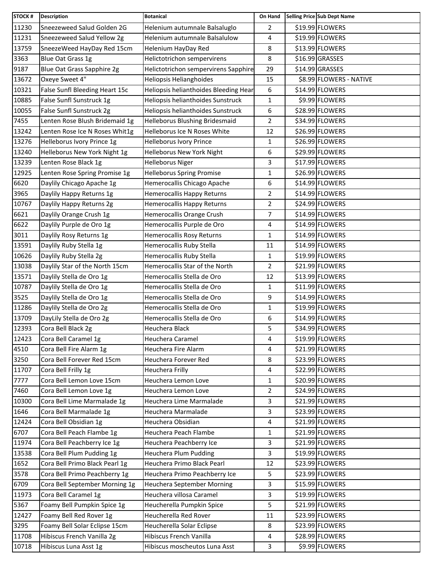| <b>STOCK#</b> | <b>Description</b>             | <b>Botanical</b>                      | On Hand        | Selling Price Sub Dept Name |
|---------------|--------------------------------|---------------------------------------|----------------|-----------------------------|
| 11230         | Sneezeweed Salud Golden 2G     | Helenium autumnale Balsaluglo         | $\overline{2}$ | \$19.99 FLOWERS             |
| 11231         | Sneezeweed Salud Yellow 2g     | Helenium autumnale Balsalulow         | 4              | \$19.99 FLOWERS             |
| 13759         | SneezeWeed HayDay Red 15cm     | Helenium HayDay Red                   | 8              | \$13.99 FLOWERS             |
| 3363          | Blue Oat Grass 1g              | Helictotrichon sempervirens           | 8              | \$16.99 GRASSES             |
| 9187          | Blue Oat Grass Sapphire 2g     | Helictotrichon sempervirens Sapphire  | 29             | \$14.99 GRASSES             |
| 13672         | Oxeye Sweet 4"                 | Heliopsis Helianghoides               | 15             | \$8.99 FLOWERS - NATIVE     |
| 10321         | False Sunfl Bleeding Heart 15c | Heliopsis helianthoides Bleeding Hear | 6              | \$14.99 FLOWERS             |
| 10885         | False Sunfl Sunstruck 1g       | Heliopsis helianthoides Sunstruck     | 1              | \$9.99 FLOWERS              |
| 10055         | False Sunfl Sunstruck 2g       | Heliopsis helianthoides Sunstruck     | 6              | \$28.99 FLOWERS             |
| 7455          | Lenten Rose Blush Bridemaid 1g | Helleborus Blushing Bridesmaid        | $\overline{2}$ | \$34.99 FLOWERS             |
| 13242         | Lenten Rose Ice N Roses Whit1g | Helleborus Ice N Roses White          | 12             | \$26.99 FLOWERS             |
| 13276         | Helleborus Ivory Prince 1g     | Helleborus Ivory Prince               | 1              | \$26.99 FLOWERS             |
| 13240         | Helleborus New York Night 1g   | Helleborus New York Night             | 6              | \$29.99 FLOWERS             |
| 13239         | Lenten Rose Black 1g           | <b>Helleborus Niger</b>               | 3              | \$17.99 FLOWERS             |
| 12925         | Lenten Rose Spring Promise 1g  | <b>Helleborus Spring Promise</b>      | $\mathbf{1}$   | \$26.99 FLOWERS             |
| 6620          | Daylily Chicago Apache 1g      | Hemerocallis Chicago Apache           | 6              | \$14.99 FLOWERS             |
| 3965          | Daylily Happy Returns 1g       | Hemerocallis Happy Returns            | $\overline{2}$ | \$14.99 FLOWERS             |
| 10767         | Daylily Happy Returns 2g       | Hemerocallis Happy Returns            | $\overline{2}$ | \$24.99 FLOWERS             |
| 6621          | Daylily Orange Crush 1g        | Hemerocallis Orange Crush             | 7              | \$14.99 FLOWERS             |
| 6622          | Daylily Purple de Oro 1g       | Hemerocallis Purple de Oro            | 4              | \$14.99 FLOWERS             |
| 3011          | Daylily Rosy Returns 1g        | Hemerocallis Rosy Returns             | $\mathbf{1}$   | \$14.99 FLOWERS             |
| 13591         | Daylily Ruby Stella 1g         | Hemerocallis Ruby Stella              | 11             | \$14.99 FLOWERS             |
| 10626         | Daylily Ruby Stella 2g         | Hemerocallis Ruby Stella              | 1              | \$19.99 FLOWERS             |
| 13038         | Daylily Star of the North 15cm | Hemerocallis Star of the North        | 2              | \$21.99 FLOWERS             |
| 13571         | Daylily Stella de Oro 1g       | Hemerocallis Stella de Oro            | 12             | \$13.99 FLOWERS             |
| 10787         | Daylily Stella de Oro 1g       | Hemerocallis Stella de Oro            | 1              | \$11.99 FLOWERS             |
| 3525          | Daylily Stella de Oro 1g       | Hemerocallis Stella de Oro            | 9              | \$14.99 FLOWERS             |
| 11286         | Daylily Stella de Oro 2g       | Hemerocallis Stella de Oro            | $\mathbf{1}$   | \$19.99 FLOWERS             |
| 13709         | DayLily Stella de Oro 2g       | Hemerocallis Stella de Oro            | 6              | \$14.99 FLOWERS             |
| 12393         | Cora Bell Black 2g             | Heuchera Black                        | 5              | \$34.99 FLOWERS             |
| 12423         | Cora Bell Caramel 1g           | Heuchera Caramel                      | 4              | \$19.99 FLOWERS             |
| 4510          | Cora Bell Fire Alarm 1g        | Heuchera Fire Alarm                   | 4              | \$21.99 FLOWERS             |
| 3250          | Cora Bell Forever Red 15cm     | Heuchera Forever Red                  | 8              | \$23.99 FLOWERS             |
| 11707         | Cora Bell Frilly 1g            | <b>Heuchera Frilly</b>                | 4              | \$22.99 FLOWERS             |
| 7777          | Cora Bell Lemon Love 15cm      | Heuchera Lemon Love                   | $\mathbf{1}$   | \$20.99 FLOWERS             |
| 7460          | Cora Bell Lemon Love 1g        | Heuchera Lemon Love                   | 2              | \$24.99 FLOWERS             |
| 10300         | Cora Bell Lime Marmalade 1g    | Heuchera Lime Marmalade               | 3              | \$21.99 FLOWERS             |
| 1646          | Cora Bell Marmalade 1g         | Heuchera Marmalade                    | 3              | \$23.99 FLOWERS             |
| 12424         | Cora Bell Obsidian 1g          | Heuchera Obsidian                     | 4              | \$21.99 FLOWERS             |
| 6707          | Cora Bell Peach Flambe 1g      | Heuchera Peach Flambe                 | $\mathbf{1}$   | \$21.99 FLOWERS             |
| 11974         | Cora Bell Peachberry Ice 1g    | Heuchera Peachberry Ice               | 3              | \$21.99 FLOWERS             |
| 13538         | Cora Bell Plum Pudding 1g      | Heuchera Plum Pudding                 | 3              | \$19.99 FLOWERS             |
| 1652          | Cora Bell Primo Black Pearl 1g | Heuchera Primo Black Pearl            | 12             | \$23.99 FLOWERS             |
| 3578          | Cora Bell Primo Peachberry 1g  | Heuchera Primo Peachberry Ice         | 5              | \$23.99 FLOWERS             |
| 6709          | Cora Bell September Morning 1g | Heuchera September Morning            | 3              | \$15.99 FLOWERS             |
| 11973         | Cora Bell Caramel 1g           | Heuchera villosa Caramel              | 3              | \$19.99 FLOWERS             |
| 5367          | Foamy Bell Pumpkin Spice 1g    | Heucherella Pumpkin Spice             | 5              | \$21.99 FLOWERS             |
| 12427         | Foamy Bell Red Rover 1g        | Heucherella Red Rover                 | 11             | \$23.99 FLOWERS             |
| 3295          | Foamy Bell Solar Eclipse 15cm  | Heucherella Solar Eclipse             | 8              | \$23.99 FLOWERS             |
| 11708         | Hibiscus French Vanilla 2g     | Hibiscus French Vanilla               | 4              | \$28.99 FLOWERS             |
| 10718         | Hibiscus Luna Asst 1g          | Hibiscus moscheutos Luna Asst         | 3              | \$9.99 FLOWERS              |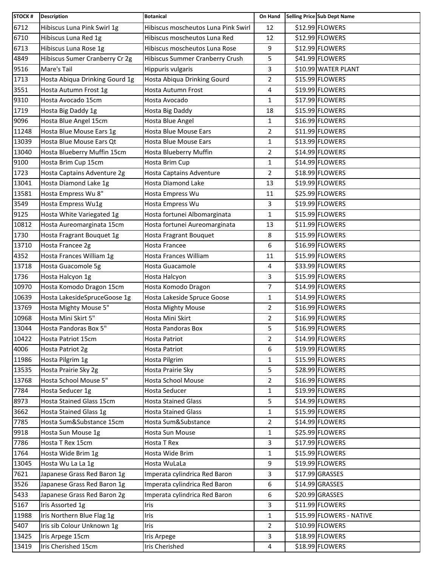| \$12.99 FLOWERS<br>Hibiscus Luna Pink Swirl 1g<br>12<br>Hibiscus moscheutos Luna Pink Swirl<br>\$12.99 FLOWERS<br>Hibiscus Luna Red 1g<br>Hibiscus moscheutos Luna Red<br>12<br>\$12.99 FLOWERS<br>Hibiscus Luna Rose 1g<br>Hibiscus moscheutos Luna Rose<br>9<br>5<br>Hibiscus Sumer Cranberry Cr 2g<br>Hibiscus Summer Cranberry Crush<br>\$41.99 FLOWERS<br>\$10.99 WATER PLANT<br>Mare's Tail<br>Hippuris vulgaris<br>3<br>\$15.99 FLOWERS<br>Hosta Abiqua Drinking Gourd 1g<br>Hosta Abiqua Drinking Gourd<br>$\overline{2}$<br>4<br>\$19.99 FLOWERS<br>Hosta Autumn Frost 1g<br>Hosta Autumn Frost<br>\$17.99 FLOWERS<br>Hosta Avocado 15cm<br>Hosta Avocado<br>1<br>\$15.99 FLOWERS<br>Hosta Big Daddy 1g<br>Hosta Big Daddy<br>18<br>\$16.99 FLOWERS<br>Hosta Blue Angel 15cm<br>Hosta Blue Angel<br>$\mathbf{1}$<br>\$11.99 FLOWERS<br>$\overline{2}$<br>Hosta Blue Mouse Ears 1g<br>Hosta Blue Mouse Ears<br>\$13.99 FLOWERS<br>Hosta Blue Mouse Ears Qt<br>Hosta Blue Mouse Ears<br>1<br>\$14.99 FLOWERS<br>Hosta Blueberry Muffin 15cm<br>Hosta Blueberry Muffin<br>$\overline{2}$<br>\$14.99 FLOWERS<br>Hosta Brim Cup 15cm<br>Hosta Brim Cup<br>1<br>\$18.99 FLOWERS<br>Hosta Captains Adventure 2g<br>$\overline{2}$<br>Hosta Captains Adventure<br>Hosta Diamond Lake 1g<br>Hosta Diamond Lake<br>\$19.99 FLOWERS<br>13<br>Hosta Empress Wu 8"<br>\$25.99 FLOWERS<br>Hosta Empress Wu<br>11<br>\$19.99 FLOWERS<br>3<br>Hosta Empress Wu1g<br>Hosta Empress Wu<br>\$15.99 FLOWERS<br>Hosta White Variegated 1g<br>Hosta fortunei Albomarginata<br>1<br>Hosta fortunei Aureomarginata<br>\$11.99 FLOWERS<br>Hosta Aureomarginata 15cm<br>13<br>\$15.99 FLOWERS<br>Hosta Fragrant Bouquet 1g<br>Hosta Fragrant Bouquet<br>8<br>\$16.99 FLOWERS<br>Hosta Francee 2g<br>Hosta Francee<br>6<br>\$15.99 FLOWERS<br>Hosta Frances William 1g<br>Hosta Frances William<br>11<br>Hosta Guacomole 5g<br>\$33.99 FLOWERS<br>Hosta Guacamole<br>4<br>\$15.99 FLOWERS<br>Hosta Halcyon 1g<br>Hosta Halcyon<br>3<br>7<br>\$14.99 FLOWERS<br>Hosta Komodo Dragon 15cm<br>Hosta Komodo Dragon<br>\$14.99 FLOWERS<br>Hosta LakesideSpruceGoose 1g<br>Hosta Lakeside Spruce Goose<br>$\mathbf{1}$<br>Hosta Mighty Mouse 5"<br>$\overline{2}$<br>\$16.99 FLOWERS<br><b>Hosta Mighty Mouse</b><br>Hosta Mini Skirt 5"<br>\$16.99 FLOWERS<br>Hosta Mini Skirt<br>2<br>\$16.99 FLOWERS<br>5<br>Hosta Pandoras Box 5"<br>Hosta Pandoras Box<br>\$14.99 FLOWERS<br>$\overline{2}$<br>Hosta Patriot 15cm<br>Hosta Patriot<br>\$19.99 FLOWERS<br>Hosta Patriot 2g<br>Hosta Patriot<br>6<br>\$15.99 FLOWERS<br>Hosta Pilgrim 1g<br>$\mathbf{1}$<br>Hosta Pilgrim<br>\$28.99 FLOWERS<br>Hosta Prairie Sky 2g<br>Hosta Prairie Sky<br>5<br>Hosta School Mouse 5"<br>\$16.99 FLOWERS<br>Hosta School Mouse<br>2<br>\$19.99 FLOWERS<br>Hosta Seducer 1g<br>Hosta Seducer<br>1<br>\$14.99 FLOWERS<br><b>Hosta Stained Glass 15cm</b><br><b>Hosta Stained Glass</b><br>5<br>\$15.99 FLOWERS<br><b>Hosta Stained Glass 1g</b><br><b>Hosta Stained Glass</b><br>1<br>Hosta Sum&Substance 15cm<br>\$14.99 FLOWERS<br>Hosta Sum&Substance<br>$\overline{2}$<br>\$25.99 FLOWERS<br>Hosta Sun Mouse 1g<br>Hosta Sun Mouse<br>$\mathbf{1}$<br>\$17.99 FLOWERS<br>Hosta T Rex 15cm<br>Hosta T Rex<br>3<br>\$15.99 FLOWERS<br>Hosta Wide Brim<br>$\mathbf{1}$<br>Hosta Wide Brim 1g<br>\$19.99 FLOWERS<br>Hosta Wu La La 1g<br>Hosta WuLaLa<br>9<br>\$17.99 GRASSES<br>Imperata cylindrica Red Baron<br>Japanese Grass Red Baron 1g<br>3<br>\$14.99 GRASSES<br>Japanese Grass Red Baron 1g<br>Imperata cylindrica Red Baron<br>6<br>Imperata cylindrica Red Baron<br>\$20.99 GRASSES<br>Japanese Grass Red Baron 2g<br>6<br>3<br>\$11.99 FLOWERS<br>Iris Assorted 1g<br>Iris<br>Iris Northern Blue Flag 1g<br>\$15.99 FLOWERS - NATIVE<br>$\mathbf{1}$<br>Iris<br>\$10.99 FLOWERS<br>Iris sib Colour Unknown 1g<br>2<br>Iris<br>\$18.99 FLOWERS<br>Iris Arpege 15cm<br>3<br>Iris Arpege<br>\$18.99 FLOWERS<br>Iris Cherished 15cm<br>Iris Cherished<br>4 | <b>STOCK#</b> | <b>Description</b> | <b>Botanical</b> | On Hand | Selling Price Sub Dept Name |
|-------------------------------------------------------------------------------------------------------------------------------------------------------------------------------------------------------------------------------------------------------------------------------------------------------------------------------------------------------------------------------------------------------------------------------------------------------------------------------------------------------------------------------------------------------------------------------------------------------------------------------------------------------------------------------------------------------------------------------------------------------------------------------------------------------------------------------------------------------------------------------------------------------------------------------------------------------------------------------------------------------------------------------------------------------------------------------------------------------------------------------------------------------------------------------------------------------------------------------------------------------------------------------------------------------------------------------------------------------------------------------------------------------------------------------------------------------------------------------------------------------------------------------------------------------------------------------------------------------------------------------------------------------------------------------------------------------------------------------------------------------------------------------------------------------------------------------------------------------------------------------------------------------------------------------------------------------------------------------------------------------------------------------------------------------------------------------------------------------------------------------------------------------------------------------------------------------------------------------------------------------------------------------------------------------------------------------------------------------------------------------------------------------------------------------------------------------------------------------------------------------------------------------------------------------------------------------------------------------------------------------------------------------------------------------------------------------------------------------------------------------------------------------------------------------------------------------------------------------------------------------------------------------------------------------------------------------------------------------------------------------------------------------------------------------------------------------------------------------------------------------------------------------------------------------------------------------------------------------------------------------------------------------------------------------------------------------------------------------------------------------------------------------------------------------------------------------------------------------------------------------------------------------------------------------------------------------------------------------------------------------------------------------------------------------------------------------------------------------------------------------------------------------------------------------------------------------------------------------------------------------------------------------------------------------------------------------------------------------------------------------------------------------|---------------|--------------------|------------------|---------|-----------------------------|
|                                                                                                                                                                                                                                                                                                                                                                                                                                                                                                                                                                                                                                                                                                                                                                                                                                                                                                                                                                                                                                                                                                                                                                                                                                                                                                                                                                                                                                                                                                                                                                                                                                                                                                                                                                                                                                                                                                                                                                                                                                                                                                                                                                                                                                                                                                                                                                                                                                                                                                                                                                                                                                                                                                                                                                                                                                                                                                                                                                                                                                                                                                                                                                                                                                                                                                                                                                                                                                                                                                                                                                                                                                                                                                                                                                                                                                                                                                                                                                                                                               | 6712          |                    |                  |         |                             |
|                                                                                                                                                                                                                                                                                                                                                                                                                                                                                                                                                                                                                                                                                                                                                                                                                                                                                                                                                                                                                                                                                                                                                                                                                                                                                                                                                                                                                                                                                                                                                                                                                                                                                                                                                                                                                                                                                                                                                                                                                                                                                                                                                                                                                                                                                                                                                                                                                                                                                                                                                                                                                                                                                                                                                                                                                                                                                                                                                                                                                                                                                                                                                                                                                                                                                                                                                                                                                                                                                                                                                                                                                                                                                                                                                                                                                                                                                                                                                                                                                               | 6710          |                    |                  |         |                             |
|                                                                                                                                                                                                                                                                                                                                                                                                                                                                                                                                                                                                                                                                                                                                                                                                                                                                                                                                                                                                                                                                                                                                                                                                                                                                                                                                                                                                                                                                                                                                                                                                                                                                                                                                                                                                                                                                                                                                                                                                                                                                                                                                                                                                                                                                                                                                                                                                                                                                                                                                                                                                                                                                                                                                                                                                                                                                                                                                                                                                                                                                                                                                                                                                                                                                                                                                                                                                                                                                                                                                                                                                                                                                                                                                                                                                                                                                                                                                                                                                                               | 6713          |                    |                  |         |                             |
|                                                                                                                                                                                                                                                                                                                                                                                                                                                                                                                                                                                                                                                                                                                                                                                                                                                                                                                                                                                                                                                                                                                                                                                                                                                                                                                                                                                                                                                                                                                                                                                                                                                                                                                                                                                                                                                                                                                                                                                                                                                                                                                                                                                                                                                                                                                                                                                                                                                                                                                                                                                                                                                                                                                                                                                                                                                                                                                                                                                                                                                                                                                                                                                                                                                                                                                                                                                                                                                                                                                                                                                                                                                                                                                                                                                                                                                                                                                                                                                                                               | 4849          |                    |                  |         |                             |
|                                                                                                                                                                                                                                                                                                                                                                                                                                                                                                                                                                                                                                                                                                                                                                                                                                                                                                                                                                                                                                                                                                                                                                                                                                                                                                                                                                                                                                                                                                                                                                                                                                                                                                                                                                                                                                                                                                                                                                                                                                                                                                                                                                                                                                                                                                                                                                                                                                                                                                                                                                                                                                                                                                                                                                                                                                                                                                                                                                                                                                                                                                                                                                                                                                                                                                                                                                                                                                                                                                                                                                                                                                                                                                                                                                                                                                                                                                                                                                                                                               | 9516          |                    |                  |         |                             |
|                                                                                                                                                                                                                                                                                                                                                                                                                                                                                                                                                                                                                                                                                                                                                                                                                                                                                                                                                                                                                                                                                                                                                                                                                                                                                                                                                                                                                                                                                                                                                                                                                                                                                                                                                                                                                                                                                                                                                                                                                                                                                                                                                                                                                                                                                                                                                                                                                                                                                                                                                                                                                                                                                                                                                                                                                                                                                                                                                                                                                                                                                                                                                                                                                                                                                                                                                                                                                                                                                                                                                                                                                                                                                                                                                                                                                                                                                                                                                                                                                               | 1713          |                    |                  |         |                             |
|                                                                                                                                                                                                                                                                                                                                                                                                                                                                                                                                                                                                                                                                                                                                                                                                                                                                                                                                                                                                                                                                                                                                                                                                                                                                                                                                                                                                                                                                                                                                                                                                                                                                                                                                                                                                                                                                                                                                                                                                                                                                                                                                                                                                                                                                                                                                                                                                                                                                                                                                                                                                                                                                                                                                                                                                                                                                                                                                                                                                                                                                                                                                                                                                                                                                                                                                                                                                                                                                                                                                                                                                                                                                                                                                                                                                                                                                                                                                                                                                                               | 3551          |                    |                  |         |                             |
|                                                                                                                                                                                                                                                                                                                                                                                                                                                                                                                                                                                                                                                                                                                                                                                                                                                                                                                                                                                                                                                                                                                                                                                                                                                                                                                                                                                                                                                                                                                                                                                                                                                                                                                                                                                                                                                                                                                                                                                                                                                                                                                                                                                                                                                                                                                                                                                                                                                                                                                                                                                                                                                                                                                                                                                                                                                                                                                                                                                                                                                                                                                                                                                                                                                                                                                                                                                                                                                                                                                                                                                                                                                                                                                                                                                                                                                                                                                                                                                                                               | 9310          |                    |                  |         |                             |
|                                                                                                                                                                                                                                                                                                                                                                                                                                                                                                                                                                                                                                                                                                                                                                                                                                                                                                                                                                                                                                                                                                                                                                                                                                                                                                                                                                                                                                                                                                                                                                                                                                                                                                                                                                                                                                                                                                                                                                                                                                                                                                                                                                                                                                                                                                                                                                                                                                                                                                                                                                                                                                                                                                                                                                                                                                                                                                                                                                                                                                                                                                                                                                                                                                                                                                                                                                                                                                                                                                                                                                                                                                                                                                                                                                                                                                                                                                                                                                                                                               | 1719          |                    |                  |         |                             |
|                                                                                                                                                                                                                                                                                                                                                                                                                                                                                                                                                                                                                                                                                                                                                                                                                                                                                                                                                                                                                                                                                                                                                                                                                                                                                                                                                                                                                                                                                                                                                                                                                                                                                                                                                                                                                                                                                                                                                                                                                                                                                                                                                                                                                                                                                                                                                                                                                                                                                                                                                                                                                                                                                                                                                                                                                                                                                                                                                                                                                                                                                                                                                                                                                                                                                                                                                                                                                                                                                                                                                                                                                                                                                                                                                                                                                                                                                                                                                                                                                               | 9096          |                    |                  |         |                             |
|                                                                                                                                                                                                                                                                                                                                                                                                                                                                                                                                                                                                                                                                                                                                                                                                                                                                                                                                                                                                                                                                                                                                                                                                                                                                                                                                                                                                                                                                                                                                                                                                                                                                                                                                                                                                                                                                                                                                                                                                                                                                                                                                                                                                                                                                                                                                                                                                                                                                                                                                                                                                                                                                                                                                                                                                                                                                                                                                                                                                                                                                                                                                                                                                                                                                                                                                                                                                                                                                                                                                                                                                                                                                                                                                                                                                                                                                                                                                                                                                                               | 11248         |                    |                  |         |                             |
|                                                                                                                                                                                                                                                                                                                                                                                                                                                                                                                                                                                                                                                                                                                                                                                                                                                                                                                                                                                                                                                                                                                                                                                                                                                                                                                                                                                                                                                                                                                                                                                                                                                                                                                                                                                                                                                                                                                                                                                                                                                                                                                                                                                                                                                                                                                                                                                                                                                                                                                                                                                                                                                                                                                                                                                                                                                                                                                                                                                                                                                                                                                                                                                                                                                                                                                                                                                                                                                                                                                                                                                                                                                                                                                                                                                                                                                                                                                                                                                                                               | 13039         |                    |                  |         |                             |
|                                                                                                                                                                                                                                                                                                                                                                                                                                                                                                                                                                                                                                                                                                                                                                                                                                                                                                                                                                                                                                                                                                                                                                                                                                                                                                                                                                                                                                                                                                                                                                                                                                                                                                                                                                                                                                                                                                                                                                                                                                                                                                                                                                                                                                                                                                                                                                                                                                                                                                                                                                                                                                                                                                                                                                                                                                                                                                                                                                                                                                                                                                                                                                                                                                                                                                                                                                                                                                                                                                                                                                                                                                                                                                                                                                                                                                                                                                                                                                                                                               | 13040         |                    |                  |         |                             |
|                                                                                                                                                                                                                                                                                                                                                                                                                                                                                                                                                                                                                                                                                                                                                                                                                                                                                                                                                                                                                                                                                                                                                                                                                                                                                                                                                                                                                                                                                                                                                                                                                                                                                                                                                                                                                                                                                                                                                                                                                                                                                                                                                                                                                                                                                                                                                                                                                                                                                                                                                                                                                                                                                                                                                                                                                                                                                                                                                                                                                                                                                                                                                                                                                                                                                                                                                                                                                                                                                                                                                                                                                                                                                                                                                                                                                                                                                                                                                                                                                               | 9100          |                    |                  |         |                             |
|                                                                                                                                                                                                                                                                                                                                                                                                                                                                                                                                                                                                                                                                                                                                                                                                                                                                                                                                                                                                                                                                                                                                                                                                                                                                                                                                                                                                                                                                                                                                                                                                                                                                                                                                                                                                                                                                                                                                                                                                                                                                                                                                                                                                                                                                                                                                                                                                                                                                                                                                                                                                                                                                                                                                                                                                                                                                                                                                                                                                                                                                                                                                                                                                                                                                                                                                                                                                                                                                                                                                                                                                                                                                                                                                                                                                                                                                                                                                                                                                                               | 1723          |                    |                  |         |                             |
|                                                                                                                                                                                                                                                                                                                                                                                                                                                                                                                                                                                                                                                                                                                                                                                                                                                                                                                                                                                                                                                                                                                                                                                                                                                                                                                                                                                                                                                                                                                                                                                                                                                                                                                                                                                                                                                                                                                                                                                                                                                                                                                                                                                                                                                                                                                                                                                                                                                                                                                                                                                                                                                                                                                                                                                                                                                                                                                                                                                                                                                                                                                                                                                                                                                                                                                                                                                                                                                                                                                                                                                                                                                                                                                                                                                                                                                                                                                                                                                                                               | 13041         |                    |                  |         |                             |
|                                                                                                                                                                                                                                                                                                                                                                                                                                                                                                                                                                                                                                                                                                                                                                                                                                                                                                                                                                                                                                                                                                                                                                                                                                                                                                                                                                                                                                                                                                                                                                                                                                                                                                                                                                                                                                                                                                                                                                                                                                                                                                                                                                                                                                                                                                                                                                                                                                                                                                                                                                                                                                                                                                                                                                                                                                                                                                                                                                                                                                                                                                                                                                                                                                                                                                                                                                                                                                                                                                                                                                                                                                                                                                                                                                                                                                                                                                                                                                                                                               | 13581         |                    |                  |         |                             |
|                                                                                                                                                                                                                                                                                                                                                                                                                                                                                                                                                                                                                                                                                                                                                                                                                                                                                                                                                                                                                                                                                                                                                                                                                                                                                                                                                                                                                                                                                                                                                                                                                                                                                                                                                                                                                                                                                                                                                                                                                                                                                                                                                                                                                                                                                                                                                                                                                                                                                                                                                                                                                                                                                                                                                                                                                                                                                                                                                                                                                                                                                                                                                                                                                                                                                                                                                                                                                                                                                                                                                                                                                                                                                                                                                                                                                                                                                                                                                                                                                               | 3549          |                    |                  |         |                             |
|                                                                                                                                                                                                                                                                                                                                                                                                                                                                                                                                                                                                                                                                                                                                                                                                                                                                                                                                                                                                                                                                                                                                                                                                                                                                                                                                                                                                                                                                                                                                                                                                                                                                                                                                                                                                                                                                                                                                                                                                                                                                                                                                                                                                                                                                                                                                                                                                                                                                                                                                                                                                                                                                                                                                                                                                                                                                                                                                                                                                                                                                                                                                                                                                                                                                                                                                                                                                                                                                                                                                                                                                                                                                                                                                                                                                                                                                                                                                                                                                                               | 9125          |                    |                  |         |                             |
|                                                                                                                                                                                                                                                                                                                                                                                                                                                                                                                                                                                                                                                                                                                                                                                                                                                                                                                                                                                                                                                                                                                                                                                                                                                                                                                                                                                                                                                                                                                                                                                                                                                                                                                                                                                                                                                                                                                                                                                                                                                                                                                                                                                                                                                                                                                                                                                                                                                                                                                                                                                                                                                                                                                                                                                                                                                                                                                                                                                                                                                                                                                                                                                                                                                                                                                                                                                                                                                                                                                                                                                                                                                                                                                                                                                                                                                                                                                                                                                                                               | 10812         |                    |                  |         |                             |
|                                                                                                                                                                                                                                                                                                                                                                                                                                                                                                                                                                                                                                                                                                                                                                                                                                                                                                                                                                                                                                                                                                                                                                                                                                                                                                                                                                                                                                                                                                                                                                                                                                                                                                                                                                                                                                                                                                                                                                                                                                                                                                                                                                                                                                                                                                                                                                                                                                                                                                                                                                                                                                                                                                                                                                                                                                                                                                                                                                                                                                                                                                                                                                                                                                                                                                                                                                                                                                                                                                                                                                                                                                                                                                                                                                                                                                                                                                                                                                                                                               | 1730          |                    |                  |         |                             |
|                                                                                                                                                                                                                                                                                                                                                                                                                                                                                                                                                                                                                                                                                                                                                                                                                                                                                                                                                                                                                                                                                                                                                                                                                                                                                                                                                                                                                                                                                                                                                                                                                                                                                                                                                                                                                                                                                                                                                                                                                                                                                                                                                                                                                                                                                                                                                                                                                                                                                                                                                                                                                                                                                                                                                                                                                                                                                                                                                                                                                                                                                                                                                                                                                                                                                                                                                                                                                                                                                                                                                                                                                                                                                                                                                                                                                                                                                                                                                                                                                               | 13710         |                    |                  |         |                             |
|                                                                                                                                                                                                                                                                                                                                                                                                                                                                                                                                                                                                                                                                                                                                                                                                                                                                                                                                                                                                                                                                                                                                                                                                                                                                                                                                                                                                                                                                                                                                                                                                                                                                                                                                                                                                                                                                                                                                                                                                                                                                                                                                                                                                                                                                                                                                                                                                                                                                                                                                                                                                                                                                                                                                                                                                                                                                                                                                                                                                                                                                                                                                                                                                                                                                                                                                                                                                                                                                                                                                                                                                                                                                                                                                                                                                                                                                                                                                                                                                                               | 4352          |                    |                  |         |                             |
|                                                                                                                                                                                                                                                                                                                                                                                                                                                                                                                                                                                                                                                                                                                                                                                                                                                                                                                                                                                                                                                                                                                                                                                                                                                                                                                                                                                                                                                                                                                                                                                                                                                                                                                                                                                                                                                                                                                                                                                                                                                                                                                                                                                                                                                                                                                                                                                                                                                                                                                                                                                                                                                                                                                                                                                                                                                                                                                                                                                                                                                                                                                                                                                                                                                                                                                                                                                                                                                                                                                                                                                                                                                                                                                                                                                                                                                                                                                                                                                                                               | 13718         |                    |                  |         |                             |
|                                                                                                                                                                                                                                                                                                                                                                                                                                                                                                                                                                                                                                                                                                                                                                                                                                                                                                                                                                                                                                                                                                                                                                                                                                                                                                                                                                                                                                                                                                                                                                                                                                                                                                                                                                                                                                                                                                                                                                                                                                                                                                                                                                                                                                                                                                                                                                                                                                                                                                                                                                                                                                                                                                                                                                                                                                                                                                                                                                                                                                                                                                                                                                                                                                                                                                                                                                                                                                                                                                                                                                                                                                                                                                                                                                                                                                                                                                                                                                                                                               | 1736          |                    |                  |         |                             |
|                                                                                                                                                                                                                                                                                                                                                                                                                                                                                                                                                                                                                                                                                                                                                                                                                                                                                                                                                                                                                                                                                                                                                                                                                                                                                                                                                                                                                                                                                                                                                                                                                                                                                                                                                                                                                                                                                                                                                                                                                                                                                                                                                                                                                                                                                                                                                                                                                                                                                                                                                                                                                                                                                                                                                                                                                                                                                                                                                                                                                                                                                                                                                                                                                                                                                                                                                                                                                                                                                                                                                                                                                                                                                                                                                                                                                                                                                                                                                                                                                               | 10970         |                    |                  |         |                             |
|                                                                                                                                                                                                                                                                                                                                                                                                                                                                                                                                                                                                                                                                                                                                                                                                                                                                                                                                                                                                                                                                                                                                                                                                                                                                                                                                                                                                                                                                                                                                                                                                                                                                                                                                                                                                                                                                                                                                                                                                                                                                                                                                                                                                                                                                                                                                                                                                                                                                                                                                                                                                                                                                                                                                                                                                                                                                                                                                                                                                                                                                                                                                                                                                                                                                                                                                                                                                                                                                                                                                                                                                                                                                                                                                                                                                                                                                                                                                                                                                                               | 10639         |                    |                  |         |                             |
|                                                                                                                                                                                                                                                                                                                                                                                                                                                                                                                                                                                                                                                                                                                                                                                                                                                                                                                                                                                                                                                                                                                                                                                                                                                                                                                                                                                                                                                                                                                                                                                                                                                                                                                                                                                                                                                                                                                                                                                                                                                                                                                                                                                                                                                                                                                                                                                                                                                                                                                                                                                                                                                                                                                                                                                                                                                                                                                                                                                                                                                                                                                                                                                                                                                                                                                                                                                                                                                                                                                                                                                                                                                                                                                                                                                                                                                                                                                                                                                                                               | 13769         |                    |                  |         |                             |
|                                                                                                                                                                                                                                                                                                                                                                                                                                                                                                                                                                                                                                                                                                                                                                                                                                                                                                                                                                                                                                                                                                                                                                                                                                                                                                                                                                                                                                                                                                                                                                                                                                                                                                                                                                                                                                                                                                                                                                                                                                                                                                                                                                                                                                                                                                                                                                                                                                                                                                                                                                                                                                                                                                                                                                                                                                                                                                                                                                                                                                                                                                                                                                                                                                                                                                                                                                                                                                                                                                                                                                                                                                                                                                                                                                                                                                                                                                                                                                                                                               | 10968         |                    |                  |         |                             |
|                                                                                                                                                                                                                                                                                                                                                                                                                                                                                                                                                                                                                                                                                                                                                                                                                                                                                                                                                                                                                                                                                                                                                                                                                                                                                                                                                                                                                                                                                                                                                                                                                                                                                                                                                                                                                                                                                                                                                                                                                                                                                                                                                                                                                                                                                                                                                                                                                                                                                                                                                                                                                                                                                                                                                                                                                                                                                                                                                                                                                                                                                                                                                                                                                                                                                                                                                                                                                                                                                                                                                                                                                                                                                                                                                                                                                                                                                                                                                                                                                               | 13044         |                    |                  |         |                             |
|                                                                                                                                                                                                                                                                                                                                                                                                                                                                                                                                                                                                                                                                                                                                                                                                                                                                                                                                                                                                                                                                                                                                                                                                                                                                                                                                                                                                                                                                                                                                                                                                                                                                                                                                                                                                                                                                                                                                                                                                                                                                                                                                                                                                                                                                                                                                                                                                                                                                                                                                                                                                                                                                                                                                                                                                                                                                                                                                                                                                                                                                                                                                                                                                                                                                                                                                                                                                                                                                                                                                                                                                                                                                                                                                                                                                                                                                                                                                                                                                                               | 10422         |                    |                  |         |                             |
|                                                                                                                                                                                                                                                                                                                                                                                                                                                                                                                                                                                                                                                                                                                                                                                                                                                                                                                                                                                                                                                                                                                                                                                                                                                                                                                                                                                                                                                                                                                                                                                                                                                                                                                                                                                                                                                                                                                                                                                                                                                                                                                                                                                                                                                                                                                                                                                                                                                                                                                                                                                                                                                                                                                                                                                                                                                                                                                                                                                                                                                                                                                                                                                                                                                                                                                                                                                                                                                                                                                                                                                                                                                                                                                                                                                                                                                                                                                                                                                                                               | 4006          |                    |                  |         |                             |
|                                                                                                                                                                                                                                                                                                                                                                                                                                                                                                                                                                                                                                                                                                                                                                                                                                                                                                                                                                                                                                                                                                                                                                                                                                                                                                                                                                                                                                                                                                                                                                                                                                                                                                                                                                                                                                                                                                                                                                                                                                                                                                                                                                                                                                                                                                                                                                                                                                                                                                                                                                                                                                                                                                                                                                                                                                                                                                                                                                                                                                                                                                                                                                                                                                                                                                                                                                                                                                                                                                                                                                                                                                                                                                                                                                                                                                                                                                                                                                                                                               | 11986         |                    |                  |         |                             |
|                                                                                                                                                                                                                                                                                                                                                                                                                                                                                                                                                                                                                                                                                                                                                                                                                                                                                                                                                                                                                                                                                                                                                                                                                                                                                                                                                                                                                                                                                                                                                                                                                                                                                                                                                                                                                                                                                                                                                                                                                                                                                                                                                                                                                                                                                                                                                                                                                                                                                                                                                                                                                                                                                                                                                                                                                                                                                                                                                                                                                                                                                                                                                                                                                                                                                                                                                                                                                                                                                                                                                                                                                                                                                                                                                                                                                                                                                                                                                                                                                               | 13535         |                    |                  |         |                             |
|                                                                                                                                                                                                                                                                                                                                                                                                                                                                                                                                                                                                                                                                                                                                                                                                                                                                                                                                                                                                                                                                                                                                                                                                                                                                                                                                                                                                                                                                                                                                                                                                                                                                                                                                                                                                                                                                                                                                                                                                                                                                                                                                                                                                                                                                                                                                                                                                                                                                                                                                                                                                                                                                                                                                                                                                                                                                                                                                                                                                                                                                                                                                                                                                                                                                                                                                                                                                                                                                                                                                                                                                                                                                                                                                                                                                                                                                                                                                                                                                                               | 13768         |                    |                  |         |                             |
|                                                                                                                                                                                                                                                                                                                                                                                                                                                                                                                                                                                                                                                                                                                                                                                                                                                                                                                                                                                                                                                                                                                                                                                                                                                                                                                                                                                                                                                                                                                                                                                                                                                                                                                                                                                                                                                                                                                                                                                                                                                                                                                                                                                                                                                                                                                                                                                                                                                                                                                                                                                                                                                                                                                                                                                                                                                                                                                                                                                                                                                                                                                                                                                                                                                                                                                                                                                                                                                                                                                                                                                                                                                                                                                                                                                                                                                                                                                                                                                                                               | 7784          |                    |                  |         |                             |
|                                                                                                                                                                                                                                                                                                                                                                                                                                                                                                                                                                                                                                                                                                                                                                                                                                                                                                                                                                                                                                                                                                                                                                                                                                                                                                                                                                                                                                                                                                                                                                                                                                                                                                                                                                                                                                                                                                                                                                                                                                                                                                                                                                                                                                                                                                                                                                                                                                                                                                                                                                                                                                                                                                                                                                                                                                                                                                                                                                                                                                                                                                                                                                                                                                                                                                                                                                                                                                                                                                                                                                                                                                                                                                                                                                                                                                                                                                                                                                                                                               | 8973          |                    |                  |         |                             |
|                                                                                                                                                                                                                                                                                                                                                                                                                                                                                                                                                                                                                                                                                                                                                                                                                                                                                                                                                                                                                                                                                                                                                                                                                                                                                                                                                                                                                                                                                                                                                                                                                                                                                                                                                                                                                                                                                                                                                                                                                                                                                                                                                                                                                                                                                                                                                                                                                                                                                                                                                                                                                                                                                                                                                                                                                                                                                                                                                                                                                                                                                                                                                                                                                                                                                                                                                                                                                                                                                                                                                                                                                                                                                                                                                                                                                                                                                                                                                                                                                               | 3662          |                    |                  |         |                             |
|                                                                                                                                                                                                                                                                                                                                                                                                                                                                                                                                                                                                                                                                                                                                                                                                                                                                                                                                                                                                                                                                                                                                                                                                                                                                                                                                                                                                                                                                                                                                                                                                                                                                                                                                                                                                                                                                                                                                                                                                                                                                                                                                                                                                                                                                                                                                                                                                                                                                                                                                                                                                                                                                                                                                                                                                                                                                                                                                                                                                                                                                                                                                                                                                                                                                                                                                                                                                                                                                                                                                                                                                                                                                                                                                                                                                                                                                                                                                                                                                                               | 7785          |                    |                  |         |                             |
|                                                                                                                                                                                                                                                                                                                                                                                                                                                                                                                                                                                                                                                                                                                                                                                                                                                                                                                                                                                                                                                                                                                                                                                                                                                                                                                                                                                                                                                                                                                                                                                                                                                                                                                                                                                                                                                                                                                                                                                                                                                                                                                                                                                                                                                                                                                                                                                                                                                                                                                                                                                                                                                                                                                                                                                                                                                                                                                                                                                                                                                                                                                                                                                                                                                                                                                                                                                                                                                                                                                                                                                                                                                                                                                                                                                                                                                                                                                                                                                                                               | 9918          |                    |                  |         |                             |
|                                                                                                                                                                                                                                                                                                                                                                                                                                                                                                                                                                                                                                                                                                                                                                                                                                                                                                                                                                                                                                                                                                                                                                                                                                                                                                                                                                                                                                                                                                                                                                                                                                                                                                                                                                                                                                                                                                                                                                                                                                                                                                                                                                                                                                                                                                                                                                                                                                                                                                                                                                                                                                                                                                                                                                                                                                                                                                                                                                                                                                                                                                                                                                                                                                                                                                                                                                                                                                                                                                                                                                                                                                                                                                                                                                                                                                                                                                                                                                                                                               | 7786          |                    |                  |         |                             |
|                                                                                                                                                                                                                                                                                                                                                                                                                                                                                                                                                                                                                                                                                                                                                                                                                                                                                                                                                                                                                                                                                                                                                                                                                                                                                                                                                                                                                                                                                                                                                                                                                                                                                                                                                                                                                                                                                                                                                                                                                                                                                                                                                                                                                                                                                                                                                                                                                                                                                                                                                                                                                                                                                                                                                                                                                                                                                                                                                                                                                                                                                                                                                                                                                                                                                                                                                                                                                                                                                                                                                                                                                                                                                                                                                                                                                                                                                                                                                                                                                               | 1764          |                    |                  |         |                             |
|                                                                                                                                                                                                                                                                                                                                                                                                                                                                                                                                                                                                                                                                                                                                                                                                                                                                                                                                                                                                                                                                                                                                                                                                                                                                                                                                                                                                                                                                                                                                                                                                                                                                                                                                                                                                                                                                                                                                                                                                                                                                                                                                                                                                                                                                                                                                                                                                                                                                                                                                                                                                                                                                                                                                                                                                                                                                                                                                                                                                                                                                                                                                                                                                                                                                                                                                                                                                                                                                                                                                                                                                                                                                                                                                                                                                                                                                                                                                                                                                                               | 13045         |                    |                  |         |                             |
|                                                                                                                                                                                                                                                                                                                                                                                                                                                                                                                                                                                                                                                                                                                                                                                                                                                                                                                                                                                                                                                                                                                                                                                                                                                                                                                                                                                                                                                                                                                                                                                                                                                                                                                                                                                                                                                                                                                                                                                                                                                                                                                                                                                                                                                                                                                                                                                                                                                                                                                                                                                                                                                                                                                                                                                                                                                                                                                                                                                                                                                                                                                                                                                                                                                                                                                                                                                                                                                                                                                                                                                                                                                                                                                                                                                                                                                                                                                                                                                                                               | 7621          |                    |                  |         |                             |
|                                                                                                                                                                                                                                                                                                                                                                                                                                                                                                                                                                                                                                                                                                                                                                                                                                                                                                                                                                                                                                                                                                                                                                                                                                                                                                                                                                                                                                                                                                                                                                                                                                                                                                                                                                                                                                                                                                                                                                                                                                                                                                                                                                                                                                                                                                                                                                                                                                                                                                                                                                                                                                                                                                                                                                                                                                                                                                                                                                                                                                                                                                                                                                                                                                                                                                                                                                                                                                                                                                                                                                                                                                                                                                                                                                                                                                                                                                                                                                                                                               | 3526          |                    |                  |         |                             |
|                                                                                                                                                                                                                                                                                                                                                                                                                                                                                                                                                                                                                                                                                                                                                                                                                                                                                                                                                                                                                                                                                                                                                                                                                                                                                                                                                                                                                                                                                                                                                                                                                                                                                                                                                                                                                                                                                                                                                                                                                                                                                                                                                                                                                                                                                                                                                                                                                                                                                                                                                                                                                                                                                                                                                                                                                                                                                                                                                                                                                                                                                                                                                                                                                                                                                                                                                                                                                                                                                                                                                                                                                                                                                                                                                                                                                                                                                                                                                                                                                               | 5433          |                    |                  |         |                             |
|                                                                                                                                                                                                                                                                                                                                                                                                                                                                                                                                                                                                                                                                                                                                                                                                                                                                                                                                                                                                                                                                                                                                                                                                                                                                                                                                                                                                                                                                                                                                                                                                                                                                                                                                                                                                                                                                                                                                                                                                                                                                                                                                                                                                                                                                                                                                                                                                                                                                                                                                                                                                                                                                                                                                                                                                                                                                                                                                                                                                                                                                                                                                                                                                                                                                                                                                                                                                                                                                                                                                                                                                                                                                                                                                                                                                                                                                                                                                                                                                                               | 5167          |                    |                  |         |                             |
|                                                                                                                                                                                                                                                                                                                                                                                                                                                                                                                                                                                                                                                                                                                                                                                                                                                                                                                                                                                                                                                                                                                                                                                                                                                                                                                                                                                                                                                                                                                                                                                                                                                                                                                                                                                                                                                                                                                                                                                                                                                                                                                                                                                                                                                                                                                                                                                                                                                                                                                                                                                                                                                                                                                                                                                                                                                                                                                                                                                                                                                                                                                                                                                                                                                                                                                                                                                                                                                                                                                                                                                                                                                                                                                                                                                                                                                                                                                                                                                                                               | 11988         |                    |                  |         |                             |
|                                                                                                                                                                                                                                                                                                                                                                                                                                                                                                                                                                                                                                                                                                                                                                                                                                                                                                                                                                                                                                                                                                                                                                                                                                                                                                                                                                                                                                                                                                                                                                                                                                                                                                                                                                                                                                                                                                                                                                                                                                                                                                                                                                                                                                                                                                                                                                                                                                                                                                                                                                                                                                                                                                                                                                                                                                                                                                                                                                                                                                                                                                                                                                                                                                                                                                                                                                                                                                                                                                                                                                                                                                                                                                                                                                                                                                                                                                                                                                                                                               | 5407          |                    |                  |         |                             |
|                                                                                                                                                                                                                                                                                                                                                                                                                                                                                                                                                                                                                                                                                                                                                                                                                                                                                                                                                                                                                                                                                                                                                                                                                                                                                                                                                                                                                                                                                                                                                                                                                                                                                                                                                                                                                                                                                                                                                                                                                                                                                                                                                                                                                                                                                                                                                                                                                                                                                                                                                                                                                                                                                                                                                                                                                                                                                                                                                                                                                                                                                                                                                                                                                                                                                                                                                                                                                                                                                                                                                                                                                                                                                                                                                                                                                                                                                                                                                                                                                               | 13425         |                    |                  |         |                             |
|                                                                                                                                                                                                                                                                                                                                                                                                                                                                                                                                                                                                                                                                                                                                                                                                                                                                                                                                                                                                                                                                                                                                                                                                                                                                                                                                                                                                                                                                                                                                                                                                                                                                                                                                                                                                                                                                                                                                                                                                                                                                                                                                                                                                                                                                                                                                                                                                                                                                                                                                                                                                                                                                                                                                                                                                                                                                                                                                                                                                                                                                                                                                                                                                                                                                                                                                                                                                                                                                                                                                                                                                                                                                                                                                                                                                                                                                                                                                                                                                                               | 13419         |                    |                  |         |                             |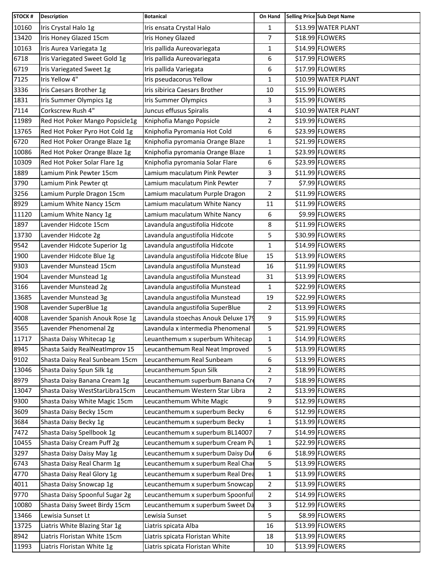| STOCK # | <b>Description</b>             | <b>Botanical</b>                    | On Hand        | Selling Price Sub Dept Name |
|---------|--------------------------------|-------------------------------------|----------------|-----------------------------|
| 10160   | Iris Crystal Halo 1g           | Iris ensata Crystal Halo            | 1              | \$13.99 WATER PLANT         |
| 13420   | Iris Honey Glazed 15cm         | Iris Honey Glazed                   | 7              | \$18.99 FLOWERS             |
| 10163   | Iris Aurea Variegata 1g        | Iris pallida Aureovariegata         | 1              | \$14.99 FLOWERS             |
| 6718    | Iris Variegated Sweet Gold 1g  | Iris pallida Aureovariegata         | 6              | \$17.99 FLOWERS             |
| 6719    | Iris Variegated Sweet 1g       | Iris pallida Variegata              | 6              | \$17.99 FLOWERS             |
| 7125    | Iris Yellow 4"                 | Iris pseudacorus Yellow             | 1              | \$10.99 WATER PLANT         |
| 3336    | Iris Caesars Brother 1g        | Iris sibirica Caesars Brother       | 10             | \$15.99 FLOWERS             |
| 1831    | Iris Summer Olympics 1g        | Iris Summer Olympics                | 3              | \$15.99 FLOWERS             |
| 7114    | Corkscrew Rush 4"              | Juncus effusus Spiralis             | 4              | \$10.99 WATER PLANT         |
| 11989   | Red Hot Poker Mango Popsicle1g | Kniphofia Mango Popsicle            | 2              | \$19.99 FLOWERS             |
| 13765   | Red Hot Poker Pyro Hot Cold 1g | Kniphofia Pyromania Hot Cold        | 6              | \$23.99 FLOWERS             |
| 6720    | Red Hot Poker Orange Blaze 1g  | Kniphofia pyromania Orange Blaze    | 1              | \$21.99 FLOWERS             |
| 10086   | Red Hot Poker Orange Blaze 1g  | Kniphofia pyromania Orange Blaze    | 1              | \$23.99 FLOWERS             |
| 10309   | Red Hot Poker Solar Flare 1g   | Kniphofia pyromania Solar Flare     | 6              | \$23.99 FLOWERS             |
| 1889    | Lamium Pink Pewter 15cm        | Lamium maculatum Pink Pewter        | 3              | \$11.99 FLOWERS             |
| 3790    | Lamium Pink Pewter qt          | Lamium maculatum Pink Pewter        | 7              | \$7.99 FLOWERS              |
| 3256    | Lamium Purple Dragon 15cm      | Lamium maculatum Purple Dragon      | 2              | \$11.99 FLOWERS             |
| 8929    | Lamium White Nancy 15cm        | Lamium maculatum White Nancy        | 11             | \$11.99 FLOWERS             |
| 11120   | Lamium White Nancy 1g          | Lamium maculatum White Nancy        | 6              | \$9.99 FLOWERS              |
| 1897    | Lavender Hidcote 15cm          | Lavandula angustifolia Hidcote      | 8              | \$11.99 FLOWERS             |
| 13730   | Lavender Hidcote 2g            | Lavandula angustifolia Hidcote      | 5              | \$30.99 FLOWERS             |
| 9542    | Lavender Hidcote Superior 1g   | Lavandula angustifolia Hidcote      | 1              | \$14.99 FLOWERS             |
| 1900    | Lavender Hidcote Blue 1g       | Lavandula angustifolia Hidcote Blue | 15             | \$13.99 FLOWERS             |
| 9303    | Lavender Munstead 15cm         | Lavandula angustifolia Munstead     | 16             | \$11.99 FLOWERS             |
| 1904    | Lavender Munstead 1g           | Lavandula angustifolia Munstead     | 31             | \$13.99 FLOWERS             |
| 3166    | Lavender Munstead 2g           | Lavandula angustifolia Munstead     | $\mathbf{1}$   | \$22.99 FLOWERS             |
| 13685   | Lavender Munstead 3g           | Lavandula angustifolia Munstead     | 19             | \$22.99 FLOWERS             |
| 1908    | Lavender SuperBlue 1g          | Lavandula angustifolia SuperBlue    | $\overline{2}$ | \$13.99 FLOWERS             |
| 4008    | Lavender Spanish Anouk Rose 1g | Lavandula stoechas Anouk Deluxe 179 | 9              | \$15.99 FLOWERS             |
| 3565    | Lavender Phenomenal 2g         | Lavandula x intermedia Phenomenal   | 5              | \$21.99 FLOWERS             |
| 11717   | Shasta Daisy Whitecap 1g       | Leuanthemum x superbum Whitecap     | 1              | \$14.99 FLOWERS             |
| 8945    | Shasta Saidy RealNeatImprov 15 | Leucanthemum Real Neat Improved     | 5              | \$13.99 FLOWERS             |
| 9102    | Shasta Daisy Real Sunbeam 15cm | Leucanthemum Real Sunbeam           | 6              | \$13.99 FLOWERS             |
| 13046   | Shasta Daisy Spun Silk 1g      | Leucanthemum Spun Silk              | 2              | \$18.99 FLOWERS             |
| 8979    | Shasta Daisy Banana Cream 1g   | Leucanthemum superbum Banana Cre    | $\overline{7}$ | \$18.99 FLOWERS             |
| 13047   | Shasta Daisy WestStarLibra15cm | Leucanthemum Western Star Libra     | 2              | \$13.99 FLOWERS             |
| 9300    | Shasta Daisy White Magic 15cm  | Leucanthemum White Magic            | 9              | \$12.99 FLOWERS             |
| 3609    | Shasta Daisy Becky 15cm        | Leucanthemum x superbum Becky       | 6              | \$12.99 FLOWERS             |
| 3684    | Shasta Daisy Becky 1g          | Leucanthemum x superbum Becky       | 1              | \$13.99 FLOWERS             |
| 7472    | Shasta Daisy Spellbook 1g      | Leucanthemum x superbum BL14007     | $\overline{7}$ | \$14.99 FLOWERS             |
| 10455   | Shasta Daisy Cream Puff 2g     | Leucanthemum x superbum Cream Pu    | 1              | \$22.99 FLOWERS             |
| 3297    | Shasta Daisy Daisy May 1g      | Leucanthemum x superbum Daisy Du    | 6              | \$18.99 FLOWERS             |
| 6743    | Shasta Daisy Real Charm 1g     | Leucanthemum x superbum Real Char   | 5              | \$13.99 FLOWERS             |
| 4770    | Shasta Daisy Real Glory 1g     | Leucanthemum x superbum Real Drea   | $\mathbf{1}$   | \$13.99 FLOWERS             |
| 4011    | Shasta Daisy Snowcap 1g        | Leucanthemum x superbum Snowcap     | $\overline{2}$ | \$13.99 FLOWERS             |
| 9770    | Shasta Daisy Spoonful Sugar 2g | Leucanthemum x superbum Spoonful    | $\overline{2}$ | \$14.99 FLOWERS             |
| 10080   | Shasta Daisy Sweet Birdy 15cm  | Leucanthemum x superbum Sweet Da    | 3              | \$12.99 FLOWERS             |
| 13466   | Lewisia Sunset Lt              | Lewisia Sunset                      | 5              | \$8.99 FLOWERS              |
| 13725   | Liatris White Blazing Star 1g  | Liatris spicata Alba                | 16             | \$13.99 FLOWERS             |
| 8942    | Liatris Floristan White 15cm   | Liatris spicata Floristan White     | 18             | \$13.99 FLOWERS             |
| 11993   | Liatris Floristan White 1g     | Liatris spicata Floristan White     | 10             | \$13.99 FLOWERS             |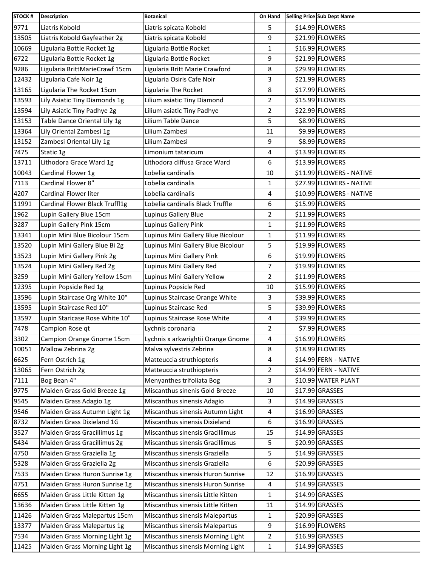| <b>STOCK#</b> | <b>Description</b>             | <b>Botanical</b>                   | On Hand        | Selling Price Sub Dept Name |
|---------------|--------------------------------|------------------------------------|----------------|-----------------------------|
| 9771          | Liatris Kobold                 | Liatris spicata Kobold             | 5              | \$14.99 FLOWERS             |
| 13505         | Liatris Kobold Gayfeather 2g   | Liatris spicata Kobold             | 9              | \$21.99 FLOWERS             |
| 10669         | Ligularia Bottle Rocket 1g     | Ligularia Bottle Rocket            | 1              | \$16.99 FLOWERS             |
| 6722          | Ligularia Bottle Rocket 1g     | Ligularia Bottle Rocket            | 9              | \$21.99 FLOWERS             |
| 9286          | Ligularia BrittMarieCrawf 15cm | Ligularia Britt Marie Crawford     | 8              | \$29.99 FLOWERS             |
| 12432         | Ligularia Cafe Noir 1g         | Ligularia Osiris Cafe Noir         | 3              | \$21.99 FLOWERS             |
| 13165         | Ligularia The Rocket 15cm      | Ligularia The Rocket               | 8              | \$17.99 FLOWERS             |
| 13593         | Lily Asiatic Tiny Diamonds 1g  | Lilium asiatic Tiny Diamond        | 2              | \$15.99 FLOWERS             |
| 13594         | Lily Asiatic Tiny Padhye 2g    | Lilium asiatic Tiny Padhye         | $\overline{2}$ | \$22.99 FLOWERS             |
| 13153         | Table Dance Oriental Lily 1g   | Lilium Table Dance                 | 5              | \$8.99 FLOWERS              |
| 13364         | Lily Oriental Zambesi 1g       | Lilium Zambesi                     | 11             | \$9.99 FLOWERS              |
| 13152         | Zambesi Oriental Lily 1g       | Lilium Zambesi                     | 9              | \$8.99 FLOWERS              |
| 7475          | Static 1g                      | Limonium tataricum                 | 4              | \$13.99 FLOWERS             |
| 13711         | Lithodora Grace Ward 1g        | Lithodora diffusa Grace Ward       | 6              | \$13.99 FLOWERS             |
| 10043         | Cardinal Flower 1g             | Lobelia cardinalis                 | 10             | \$11.99 FLOWERS - NATIVE    |
| 7113          | Cardinal Flower 8"             | Lobelia cardinalis                 | $\mathbf{1}$   | \$27.99 FLOWERS - NATIVE    |
| 4207          | Cardinal Flower liter          | Lobelia cardinalis                 | 4              | \$10.99 FLOWERS - NATIVE    |
| 11991         | Cardinal Flower Black Truffl1g | Lobelia cardinalis Black Truffle   | 6              | \$15.99 FLOWERS             |
| 1962          | Lupin Gallery Blue 15cm        | Lupinus Gallery Blue               | 2              | \$11.99 FLOWERS             |
| 3287          | Lupin Gallery Pink 15cm        | Lupinus Gallery Pink               | 1              | \$11.99 FLOWERS             |
| 13341         | Lupin Mini Blue Bicolour 15cm  | Lupinus Mini Gallery Blue Bicolour | $\mathbf{1}$   | \$11.99 FLOWERS             |
| 13520         | Lupin Mini Gallery Blue Bi 2g  | Lupinus Mini Gallery Blue Bicolour | 5              | \$19.99 FLOWERS             |
| 13523         | Lupin Mini Gallery Pink 2g     | Lupinus Mini Gallery Pink          | 6              | \$19.99 FLOWERS             |
| 13524         | Lupin Mini Gallery Red 2g      | Lupinus Mini Gallery Red           | 7              | \$19.99 FLOWERS             |
| 3259          | Lupin Mini Gallery Yellow 15cm | Lupinus Mini Gallery Yellow        | 2              | \$11.99 FLOWERS             |
| 12395         | Lupin Popsicle Red 1g          | Lupinus Popsicle Red               | 10             | \$15.99 FLOWERS             |
| 13596         | Lupin Staircase Org White 10"  | Lupinus Staircase Orange White     | 3              | \$39.99 FLOWERS             |
| 13595         | Lupin Staircase Red 10"        | Lupinus Staircase Red              | 5              | \$39.99 FLOWERS             |
| 13597         | Lupin Staricase Rose White 10" | Lupinus Staircase Rose White       | 4              | \$39.99 FLOWERS             |
| 7478          | Campion Rose qt                | Lychnis coronaria                  | $\overline{2}$ | \$7.99 FLOWERS              |
| 3302          | Campion Orange Gnome 15cm      | Lychnis x arkwrightii Orange Gnome | 4              | \$16.99 FLOWERS             |
| 10051         | Mallow Zebrina 2g              | Malva sylvestris Zebrina           | 8              | \$18.99 FLOWERS             |
| 6625          | Fern Ostrich 1g                | Matteuccia struthiopteris          | 4              | \$14.99 FERN - NATIVE       |
| 13065         | Fern Ostrich 2g                | Matteuccia struthiopteris          | $\overline{2}$ | \$14.99 FERN - NATIVE       |
| 7111          | Bog Bean 4"                    | Menyanthes trifoliata Bog          | 3              | \$10.99 WATER PLANT         |
| 9775          | Maiden Grass Gold Breeze 1g    | Miscanthus sinenis Gold Breeze     | 10             | \$17.99 GRASSES             |
| 9545          | Maiden Grass Adagio 1g         | Miscanthus sinensis Adagio         | 3              | \$14.99 GRASSES             |
| 9546          | Maiden Grass Autumn Light 1g   | Miscanthus sinensis Autumn Light   | 4              | \$16.99 GRASSES             |
| 8732          | Maiden Grass Dixieland 1G      | Miscanthus sinensis Dixieland      | 6              | $$16.99$ GRASSES            |
| 3527          | Maiden Grass Gracillimus 1g    | Miscanthus sinensis Gracillimus    | 15             | \$14.99 GRASSES             |
| 5434          | Maiden Grass Gracillimus 2g    | Miscanthus sinensis Gracillimus    | 5              | \$20.99 GRASSES             |
| 4750          | Maiden Grass Graziella 1g      | Miscanthus sinensis Graziella      | 5              | \$14.99 GRASSES             |
| 5328          | Maiden Grass Graziella 2g      | Miscanthus sinensis Graziella      | 6              | \$20.99 GRASSES             |
| 7533          | Maiden Grass Huron Sunrise 1g  | Miscanthus sinensis Huron Sunrise  | 12             | \$16.99 GRASSES             |
| 4751          | Maiden Grass Huron Sunrise 1g  | Miscanthus sinensis Huron Sunrise  | 4              | $$14.99$ GRASSES            |
| 6655          | Maiden Grass Little Kitten 1g  | Miscanthus sinensis Little Kitten  | $\mathbf{1}$   | \$14.99 GRASSES             |
| 13636         | Maiden Grass Little Kitten 1g  | Miscanthus sinensis Little Kitten  | 11             | \$14.99 GRASSES             |
| 11426         | Maiden Grass Malepartus 15cm   | Miscanthus sinensis Malepartus     | 1              | \$20.99 GRASSES             |
| 13377         | Maiden Grass Malepartus 1g     | Miscanthus sinensis Malepartus     | 9              | \$16.99 FLOWERS             |
| 7534          | Maiden Grass Morning Light 1g  | Miscanthus sinensis Morning Light  | 2              | \$16.99 GRASSES             |
| 11425         | Maiden Grass Morning Light 1g  | Miscanthus sinensis Morning Light  | $\mathbf{1}$   | \$14.99 GRASSES             |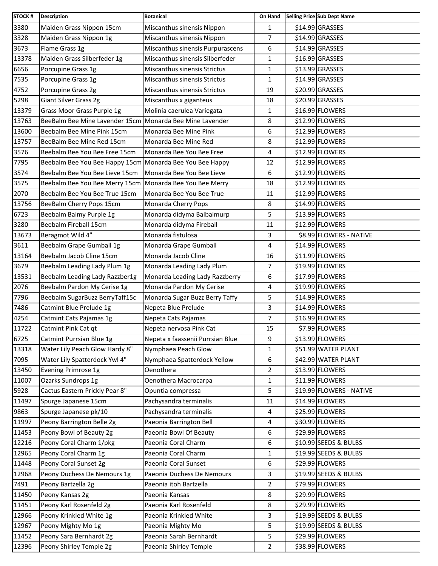| <b>STOCK#</b> | <b>Description</b>                                       | <b>Botanical</b>                 | On Hand        | Selling Price Sub Dept Name |
|---------------|----------------------------------------------------------|----------------------------------|----------------|-----------------------------|
| 3380          | Maiden Grass Nippon 15cm                                 | Miscanthus sinensis Nippon       | $\mathbf{1}$   | \$14.99 GRASSES             |
| 3328          | Maiden Grass Nippon 1g                                   | Miscanthus sinensis Nippon       | $\overline{7}$ | $$14.99$ GRASSES            |
| 3673          | Flame Grass 1g                                           | Miscanthus sinensis Purpurascens | 6              | $$14.99$ GRASSES            |
| 13378         | Maiden Grass Silberfeder 1g                              | Miscanthus sinensis Silberfeder  | $\mathbf{1}$   | \$16.99 GRASSES             |
| 6656          | Porcupine Grass 1g                                       | Miscanthus sinensis Strictus     | 1              | \$13.99 GRASSES             |
| 7535          | Porcupine Grass 1g                                       | Miscanthus sinensis Strictus     | 1              | \$14.99 GRASSES             |
| 4752          | Porcupine Grass 2g                                       | Miscanthus sinensis Strictus     | 19             | \$20.99 GRASSES             |
| 5298          | Giant Silver Grass 2g                                    | Miscanthus x giganteus           | 18             | \$20.99 GRASSES             |
| 13379         | Grass Moor Grass Purple 1g                               | Molinia caerulea Variegata       | $\mathbf{1}$   | \$16.99 FLOWERS             |
| 13763         | BeeBalm Bee Mine Lavender 15cm                           | Monarda Bee Mine Lavender        | 8              | \$12.99 FLOWERS             |
| 13600         | Beebalm Bee Mine Pink 15cm                               | Monarda Bee Mine Pink            | 6              | \$12.99 FLOWERS             |
| 13757         | BeeBalm Bee Mine Red 15cm                                | Monarda Bee Mine Red             | 8              | \$12.99 FLOWERS             |
| 3576          | Beebalm Bee You Bee Free 15cm                            | Monarda Bee You Bee Free         | 4              | \$12.99 FLOWERS             |
| 7795          | Beebalm Bee You Bee Happy 15cm Monarda Bee You Bee Happy |                                  | 12             | \$12.99 FLOWERS             |
| 3574          | Beebalm Bee You Bee Lieve 15cm                           | Monarda Bee You Bee Lieve        | 6              | \$12.99 FLOWERS             |
| 3575          | Beebalm Bee You Bee Merry 15cm Monarda Bee You Bee Merry |                                  | 18             | \$12.99 FLOWERS             |
| 2070          | Beebalm Bee You Bee True 15cm                            | Monarda Bee You Bee True         | 11             | \$12.99 FLOWERS             |
| 13756         | BeeBalm Cherry Pops 15cm                                 | Monarda Cherry Pops              | 8              | \$14.99 FLOWERS             |
| 6723          | Beebalm Balmy Purple 1g                                  | Monarda didyma Balbalmurp        | 5              | \$13.99 FLOWERS             |
| 3280          | Beebalm Fireball 15cm                                    | Monarda didyma Fireball          | 11             | \$12.99 FLOWERS             |
| 13673         | Beragmot Wild 4"                                         | Monarda fistulosa                | 3              | \$8.99 FLOWERS - NATIVE     |
| 3611          | Beebalm Grape Gumball 1g                                 | Monarda Grape Gumball            | 4              | \$14.99 FLOWERS             |
| 13164         | Beebalm Jacob Cline 15cm                                 | Monarda Jacob Cline              | 16             | \$11.99 FLOWERS             |
| 3679          | Beebalm Leading Lady Plum 1g                             | Monarda Leading Lady Plum        | 7              | \$19.99 FLOWERS             |
| 13531         | Beebalm Leading Lady Razzber1g                           | Monarda Leading Lady Razzberry   | 6              | \$17.99 FLOWERS             |
| 2076          | Beebalm Pardon My Cerise 1g                              | Monarda Pardon My Cerise         | 4              | \$19.99 FLOWERS             |
| 7796          | Beebalm SugarBuzz BerryTaff15c                           | Monarda Sugar Buzz Berry Taffy   | 5              | \$14.99 FLOWERS             |
| 7486          | Catmint Blue Prelude 1g                                  | Nepeta Blue Prelude              | 3              | \$14.99 FLOWERS             |
| 4254          | Catmint Cats Pajamas 1g                                  | Nepeta Cats Pajamas              | $\overline{7}$ | \$16.99 FLOWERS             |
| 11722         | Catmint Pink Cat qt                                      | Nepeta nervosa Pink Cat          | 15             | \$7.99 FLOWERS              |
| 6725          | Catmint Purrsian Blue 1g                                 | Nepeta x faassenii Purrsian Blue | 9              | \$13.99 FLOWERS             |
| 13318         | Water Lily Peach Glow Hardy 8"                           | Nymphaea Peach Glow              | $\mathbf{1}$   | \$51.99 WATER PLANT         |
| 7095          | Water Lily Spatterdock Ywl 4"                            | Nymphaea Spatterdock Yellow      | 6              | \$42.99 WATER PLANT         |
| 13450         | Evening Primrose 1g                                      | Oenothera                        | $\overline{2}$ | \$13.99 FLOWERS             |
| 11007         | Ozarks Sundrops 1g                                       | Oenothera Macrocarpa             | $\mathbf{1}$   | \$11.99 FLOWERS             |
| 5928          | Cactus Eastern Prickly Pear 8"                           | Opuntia compressa                | 5              | \$19.99 FLOWERS - NATIVE    |
| 11497         | Spurge Japanese 15cm                                     | Pachysandra terminalis           | 11             | \$14.99 FLOWERS             |
| 9863          | Spurge Japanese pk/10                                    | Pachysandra terminalis           | 4              | \$25.99 FLOWERS             |
| 11997         | Peony Barrington Belle 2g                                | Paeonia Barrington Bell          | 4              | \$30.99 FLOWERS             |
| 11453         | Peony Bowl of Beauty 2g                                  | Paeonia Bowl Of Beauty           | 6              | \$29.99 FLOWERS             |
| 12216         | Peony Coral Charm 1/pkg                                  | Paeonia Coral Charm              | 6              | \$10.99 SEEDS & BULBS       |
| 12965         | Peony Coral Charm 1g                                     | Paeonia Coral Charm              | $\mathbf{1}$   | \$19.99 SEEDS & BULBS       |
| 11448         | Peony Coral Sunset 2g                                    | Paeonia Coral Sunset             | 6              | \$29.99 FLOWERS             |
| 12968         | Peony Duchess De Nemours 1g                              | Paeonia Duchess De Nemours       | 3              | \$19.99 SEEDS & BULBS       |
| 7491          | Peony Bartzella 2g                                       | Paeonia itoh Bartzella           | $\overline{2}$ | \$79.99 FLOWERS             |
| 11450         | Peony Kansas 2g                                          | Paeonia Kansas                   | 8              | \$29.99 FLOWERS             |
| 11451         | Peony Karl Rosenfeld 2g                                  | Paeonia Karl Rosenfeld           | 8              | \$29.99 FLOWERS             |
| 12966         | Peony Krinkled White 1g                                  | Paeonia Krinkled White           | 3              | \$19.99 SEEDS & BULBS       |
| 12967         | Peony Mighty Mo 1g                                       | Paeonia Mighty Mo                | 5              | \$19.99 SEEDS & BULBS       |
| 11452         | Peony Sara Bernhardt 2g                                  | Paeonia Sarah Bernhardt          | 5              | \$29.99 FLOWERS             |
| 12396         | Peony Shirley Temple 2g                                  | Paeonia Shirley Temple           | 2              | \$38.99 FLOWERS             |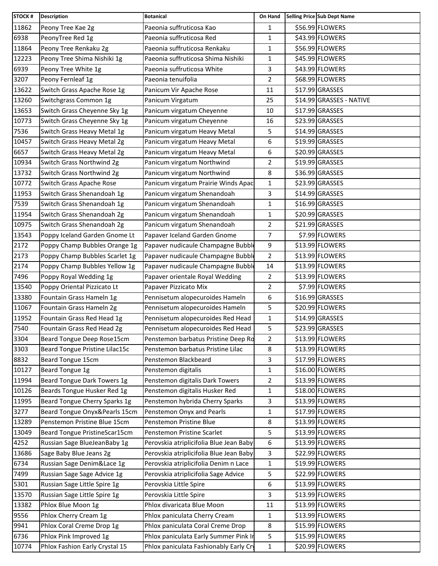| <b>STOCK#</b> | <b>Description</b>             | <b>Botanical</b>                        | On Hand        | Selling Price Sub Dept Name |
|---------------|--------------------------------|-----------------------------------------|----------------|-----------------------------|
| 11862         | Peony Tree Kae 2g              | Paeonia suffruticosa Kao                | 1              | \$56.99 FLOWERS             |
| 6938          | PeonyTree Red 1g               | Paeonia suffruticosa Red                | 1              | \$43.99 FLOWERS             |
| 11864         | Peony Tree Renkaku 2g          | Paeonia suffruticosa Renkaku            | 1              | \$56.99 FLOWERS             |
| 12223         | Peony Tree Shima Nishiki 1g    | Paeonia suffruticosa Shima Nishiki      | 1              | \$45.99 FLOWERS             |
| 6939          | Peony Tree White 1g            | Paeonia suffruticosa White              | 3              | \$43.99 FLOWERS             |
| 3207          | Peony Fernleaf 1g              | Paeonia tenuifolia                      | $\overline{2}$ | \$68.99 FLOWERS             |
| 13622         | Switch Grass Apache Rose 1g    | Panicum Vir Apache Rose                 | 11             | $$17.99$ GRASSES            |
| 13260         | Switchgrass Common 1g          | Panicum Virgatum                        | 25             | \$14.99 GRASSES - NATIVE    |
| 13653         | Switch Grass Cheyenne Sky 1g   | Panicum virgatum Cheyenne               | 10             | \$17.99 GRASSES             |
| 10773         | Switch Grass Cheyenne Sky 1g   | Panicum virgatum Cheyenne               | 16             | \$23.99 GRASSES             |
| 7536          | Switch Grass Heavy Metal 1g    | Panicum virgatum Heavy Metal            | 5              | \$14.99 GRASSES             |
| 10457         | Switch Grass Heavy Metal 2g    | Panicum virgatum Heavy Metal            | 6              | \$19.99 GRASSES             |
| 6657          | Switch Grass Heavy Metal 2g    | Panicum virgatum Heavy Metal            | 6              | \$20.99 GRASSES             |
| 10934         | Switch Grass Northwind 2g      | Panicum virgatum Northwind              | 2              | \$19.99 GRASSES             |
| 13732         | Switch Grass Northwind 2g      | Panicum virgatum Northwind              | 8              | \$36.99 GRASSES             |
| 10772         | Switch Grass Apache Rose       | Panicum virgatum Prairie Winds Apac     | 1              | \$23.99 GRASSES             |
| 11953         | Switch Grass Shenandoah 1g     | Panicum virgatum Shenandoah             | 3              | \$14.99 GRASSES             |
| 7539          | Switch Grass Shenandoah 1g     | Panicum virgatum Shenandoah             | $\mathbf{1}$   | \$16.99 GRASSES             |
| 11954         | Switch Grass Shenandoah 2g     | Panicum virgatum Shenandoah             | 1              | \$20.99 GRASSES             |
| 10975         | Switch Grass Shenandoah 2g     | Panicum virgatum Shenandoah             | $\overline{2}$ | \$21.99 GRASSES             |
| 13543         | Poppy Iceland Garden Gnome Lt  | Papaver Iceland Garden Gnome            | $\overline{7}$ | \$7.99 FLOWERS              |
| 2172          | Poppy Champ Bubbles Orange 1g  | Papaver nudicaule Champagne Bubble      | 9              | \$13.99 FLOWERS             |
| 2173          | Poppy Champ Bubbles Scarlet 1g | Papaver nudicaule Champagne Bubble      | $\overline{2}$ | \$13.99 FLOWERS             |
| 2174          | Poppy Champ Bubbles Yellow 1g  | Papaver nudicaule Champagne Bubble      | 14             | \$13.99 FLOWERS             |
| 7496          | Poppy Royal Wedding 1g         | Papaver orientale Royal Wedding         | $\overline{2}$ | \$13.99 FLOWERS             |
| 13540         | Poppy Oriental Pizzicato Lt    | Papaver Pizzicato Mix                   | $\overline{2}$ | \$7.99 FLOWERS              |
| 13380         | Fountain Grass Hameln 1g       | Pennisetum alopecuroides Hameln         | 6              | \$16.99 GRASSES             |
| 11067         | Fountain Grass Hameln 2g       | Pennisetum alopecuroides Hameln         | 5              | \$20.99 FLOWERS             |
| 11952         | Fountain Grass Red Head 1g     | Pennisetum alopecuroides Red Head       | 1              | \$14.99 GRASSES             |
| 7540          | Fountain Grass Red Head 2g     | Pennisetum alopecuroides Red Head       | 5              | \$23.99 GRASSES             |
| 3304          | Beard Tongue Deep Rose15cm     | Penstemon barbatus Pristine Deep Rd     | $\overline{2}$ | \$13.99 FLOWERS             |
| 3303          | Beard Tongue Pristine Lilac15c | Penstemon barbatus Pristine Lilac       | 8              | \$13.99 FLOWERS             |
| 8832          | Beard Tongue 15cm              | Penstemon Blackbeard                    | 3              | \$17.99 FLOWERS             |
| 10127         | Beard Tongue 1g                | Penstemon digitalis                     | 1              | \$16.00 FLOWERS             |
| 11994         | Beard Tongue Dark Towers 1g    | Penstemon digitalis Dark Towers         | 2              | \$13.99 FLOWERS             |
| 10126         | Beards Tongue Husker Red 1g    | Penstemon digitalis Husker Red          | 1              | \$18.00 FLOWERS             |
| 11995         | Beard Tongue Cherry Sparks 1g  | Penstemon hybrida Cherry Sparks         | 3              | \$13.99 FLOWERS             |
| 3277          | Beard Tongue Onyx&Pearls 15cm  | Penstemon Onyx and Pearls               | 1              | \$17.99 FLOWERS             |
| 13289         | Penstemon Pristine Blue 15cm   | Penstemon Pristine Blue                 | 8              | \$13.99 FLOWERS             |
| 13049         | Beard Tongue PristineScar15cm  | Penstemon Pristine Scarlet              | 5              | \$13.99 FLOWERS             |
| 4252          | Russian Sage BlueJeanBaby 1g   | Perovskia atriplicifolia Blue Jean Baby | 6              | \$13.99 FLOWERS             |
| 13686         | Sage Baby Blue Jeans 2g        | Perovskia atriplicifolia Blue Jean Baby | 3              | \$22.99 FLOWERS             |
| 6734          | Russian Sage Denim&Lace 1g     | Perovskia atriplicifolia Denim n Lace   | 1              | \$19.99 FLOWERS             |
| 7499          | Russian Sage Sage Advice 1g    | Perovskia atriplicifolia Sage Advice    | 5              | \$22.99 FLOWERS             |
| 5301          | Russian Sage Little Spire 1g   | Perovskia Little Spire                  | 6              | \$13.99 FLOWERS             |
| 13570         | Russian Sage Little Spire 1g   | Perovskia Little Spire                  | 3              | \$13.99 FLOWERS             |
| 13382         | Phlox Blue Moon 1g             | Phlox divaricata Blue Moon              | 11             | \$13.99 FLOWERS             |
| 9556          | Phlox Cherry Cream 1g          | Phlox paniculata Cherry Cream           | 1              | \$13.99 FLOWERS             |
| 9941          | Phlox Coral Creme Drop 1g      | Phlox paniculata Coral Creme Drop       | 8              | \$15.99 FLOWERS             |
| 6736          | Phlox Pink Improved 1g         | Phlox paniculata Early Summer Pink In   | 5              | \$15.99 FLOWERS             |
| 10774         | Phlox Fashion Early Crystal 15 | Phlox paniculata Fashionably Early Cry  | $\mathbf{1}$   | \$20.99 FLOWERS             |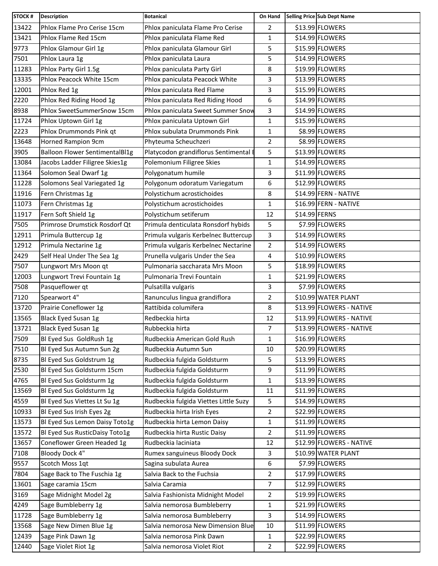| <b>STOCK#</b> | <b>Description</b>                    | <b>Botanical</b>                      | On Hand        |               | <b>Selling Price Sub Dept Name</b> |
|---------------|---------------------------------------|---------------------------------------|----------------|---------------|------------------------------------|
| 13422         | Phlox Flame Pro Cerise 15cm           | Phlox paniculata Flame Pro Cerise     | $\overline{2}$ |               | \$13.99 FLOWERS                    |
| 13421         | Phlox Flame Red 15cm                  | Phlox paniculata Flame Red            | $\mathbf{1}$   |               | \$14.99 FLOWERS                    |
| 9773          | Phlox Glamour Girl 1g                 | Phlox paniculata Glamour Girl         | 5              |               | \$15.99 FLOWERS                    |
| 7501          | Phlox Laura 1g                        | Phlox paniculata Laura                | 5              |               | \$14.99 FLOWERS                    |
| 11283         | Phlox Party Girl 1.5g                 | Phlox paniculata Party Girl           | 8              |               | \$19.99 FLOWERS                    |
| 13335         | Phlox Peacock White 15cm              | Phlox paniculata Peacock White        | 3              |               | \$13.99 FLOWERS                    |
| 12001         | Phlox Red 1g                          | Phlox paniculata Red Flame            | 3              |               | \$15.99 FLOWERS                    |
| 2220          | Phlox Red Riding Hood 1g              | Phlox paniculata Red Riding Hood      | 6              |               | \$14.99 FLOWERS                    |
| 8938          | Phlox SweetSummerSnow 15cm            | Phlox paniculata Sweet Summer Snow    | 3              |               | \$14.99 FLOWERS                    |
| 11724         | Phlox Uptown Girl 1g                  | Phlox paniculata Uptown Girl          | 1              |               | \$15.99 FLOWERS                    |
| 2223          | Phlox Drummonds Pink qt               | Phlox subulata Drummonds Pink         | $\mathbf{1}$   |               | \$8.99 FLOWERS                     |
| 13648         | Horned Rampion 9cm                    | Phyteuma Scheuchzeri                  | $\overline{2}$ |               | \$8.99 FLOWERS                     |
| 3905          | <b>Balloon Flower SentimentalBl1g</b> | Platycodon grandiflorus Sentimental   | 5              |               | \$13.99 FLOWERS                    |
| 13084         | Jacobs Ladder Filigree Skies1g        | Polemonium Filigree Skies             | 1              |               | \$14.99 FLOWERS                    |
| 11364         | Solomon Seal Dwarf 1g                 | Polygonatum humile                    | 3              |               | \$11.99 FLOWERS                    |
| 11228         | Solomons Seal Variegated 1g           | Polygonum odoratum Variegatum         | 6              |               | \$12.99 FLOWERS                    |
| 11916         | Fern Christmas 1g                     | Polystichum acrostichoides            | 8              |               | \$14.99 FERN - NATIVE              |
| 11073         | Fern Christmas 1g                     | Polystichum acrostichoides            | 1              |               | \$16.99 FERN - NATIVE              |
| 11917         | Fern Soft Shield 1g                   | Polystichum setiferum                 | 12             | \$14.99 FERNS |                                    |
| 7505          | Primrose Drumstick Rosdorf Qt         | Primula denticulata Ronsdorf hybids   | 5              |               | \$7.99 FLOWERS                     |
| 12911         | Primula Buttercup 1g                  | Primula vulgaris Kerbelnec Buttercup  | 3              |               | \$14.99 FLOWERS                    |
| 12912         | Primula Nectarine 1g                  | Primula vulgaris Kerbelnec Nectarine  | $\overline{2}$ |               | \$14.99 FLOWERS                    |
| 2429          | Self Heal Under The Sea 1g            | Prunella vulgaris Under the Sea       | 4              |               | \$10.99 FLOWERS                    |
| 7507          | Lungwort Mrs Moon qt                  | Pulmonaria saccharata Mrs Moon        | 5              |               | \$18.99 FLOWERS                    |
| 12003         | Lungwort Trevi Fountain 1g            | Pulmonaria Trevi Fountain             | 1              |               | \$21.99 FLOWERS                    |
| 7508          | Pasqueflower qt                       | Pulsatilla vulgaris                   | 3              |               | \$7.99 FLOWERS                     |
| 7120          | Spearwort 4"                          | Ranunculus lingua grandiflora         | $\overline{2}$ |               | \$10.99 WATER PLANT                |
| 13720         | Prairie Coneflower 1g                 | Rattibida columifera                  | 8              |               | \$13.99 FLOWERS - NATIVE           |
| 13565         | Black Eyed Susan 1g                   | Redbeckia hirta                       | 12             |               | \$13.99 FLOWERS - NATIVE           |
| 13721         | Black Eyed Susan 1g                   | Rubbeckia hirta                       | 7              |               | \$13.99 FLOWERS - NATIVE           |
| 7509          | Bl Eyed Sus GoldRush 1g               | Rudbeckia American Gold Rush          | 1              |               | \$16.99 FLOWERS                    |
| 7510          | Bl Eyed Sus Autumn Sun 2g             | Rudbeckia Autumn Sun                  | 10             |               | \$20.99 FLOWERS                    |
| 8735          | Bl Eyed Sus Goldstrum 1g              | Rudbeckia fulgida Goldsturm           | 5              |               | \$13.99 FLOWERS                    |
| 2530          | Bl Eyed Sus Goldsturm 15cm            | Rudbeckia fulgida Goldsturm           | 9              |               | \$11.99 FLOWERS                    |
| 4765          | Bl Eyed Sus Goldsturm 1g              | Rudbeckia fulgida Goldsturm           | $\mathbf{1}$   |               | \$13.99 FLOWERS                    |
| 13569         | Bl Eyed Sus Goldsturm 1g              | Rudbeckia fulgida Goldsturm           | 11             |               | \$11.99 FLOWERS                    |
| 4559          | Bl Eyed Sus Viettes Lt Su 1g          | Rudbeckia fulgida Viettes Little Suzy | 5              |               | \$14.99 FLOWERS                    |
| 10933         | Bl Eyed Sus Irish Eyes 2g             | Rudbeckia hirta Irish Eyes            | 2              |               | \$22.99 FLOWERS                    |
| 13573         | Bl Eyed Sus Lemon Daisy Toto1g        | Rudbeckia hirta Lemon Daisy           | 1              |               | \$11.99 FLOWERS                    |
| 13572         | Bl Eyed Sus RusticDaisy Toto1g        | Rudbeckia hirta Rustic Daisy          | $\overline{2}$ |               | \$11.99 FLOWERS                    |
| 13657         | Coneflower Green Headed 1g            | Rudbeckia laciniata                   | 12             |               | \$12.99 FLOWERS - NATIVE           |
| 7108          | Bloody Dock 4"                        | Rumex sanguineus Bloody Dock          | 3              |               | \$10.99 WATER PLANT                |
| 9557          | Scotch Moss 1qt                       | Sagina subulata Aurea                 | 6              |               | \$7.99 FLOWERS                     |
| 7804          | Sage Back to The Fuschia 1g           | Salvia Back to the Fuchsia            | 2              |               | \$17.99 FLOWERS                    |
| 13601         | Sage caramia 15cm                     | Salvia Caramia                        | 7              |               | \$12.99 FLOWERS                    |
| 3169          | Sage Midnight Model 2g                | Salvia Fashionista Midnight Model     | $\overline{2}$ |               | \$19.99 FLOWERS                    |
| 4249          | Sage Bumbleberry 1g                   | Salvia nemorosa Bumbleberry           | $\mathbf 1$    |               | \$21.99 FLOWERS                    |
| 11728         | Sage Bumbleberry 1g                   | Salvia nemorosa Bumbleberry           | 3              |               | \$14.99 FLOWERS                    |
| 13568         | Sage New Dimen Blue 1g                | Salvia nemorosa New Dimension Blue    | 10             |               | \$11.99 FLOWERS                    |
| 12439         | Sage Pink Dawn 1g                     | Salvia nemorosa Pink Dawn             | 1              |               | \$22.99 FLOWERS                    |
| 12440         | Sage Violet Riot 1g                   | Salvia nemorosa Violet Riot           | 2              |               | \$22.99 FLOWERS                    |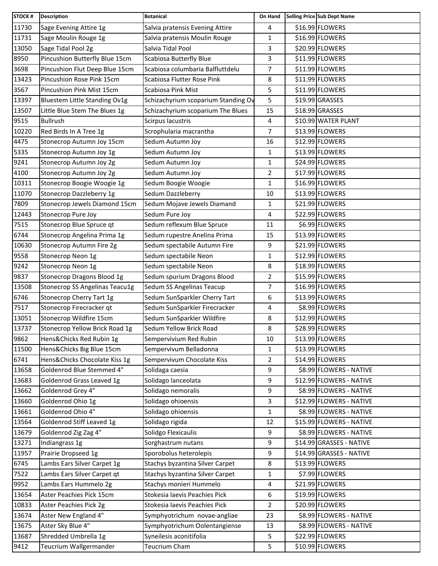| \$16.99 FLOWERS<br>Sage Evening Attire 1g<br>Salvia pratensis Evening Attire<br>4<br>\$16.99 FLOWERS<br>Sage Moulin Rouge 1g<br>Salvia pratensis Moulin Rouge<br>1<br>\$20.99 FLOWERS<br>Sage Tidal Pool 2g<br>Salvia Tidal Pool<br>3<br>Pincushion Butterfly Blue 15cm<br>Scabiosa Butterfly Blue<br>\$11.99 FLOWERS<br>3<br>7<br>\$11.99 FLOWERS<br>Pincushion Flut Deep Blue 15cm<br>Scabiosa columbaria Balfluttdelu<br>\$11.99 FLOWERS<br>Pincushion Rose Pink 15cm<br>Scabiosa Flutter Rose Pink<br>8<br>5<br>\$11.99 FLOWERS<br>Pincushion Pink Mist 15cm<br>Scabiosa Pink Mist<br>\$19.99 GRASSES<br>Bluestem Little Standing Ov1g<br>Schizachyrium scoparium Standing Ov<br>5<br>\$18.99 GRASSES<br>Little Blue Stem The Blues 1g<br>Schizachyrium scoparium The Blues<br>15<br>\$10.99 WATER PLANT<br><b>Bullrush</b><br>Scirpus lacustris<br>4<br>$\overline{7}$<br>\$13.99 FLOWERS<br>Red Birds In A Tree 1g<br>Scrophularia macrantha<br>\$12.99 FLOWERS<br>Stonecrop Autumn Joy 15cm<br>Sedum Autumn Joy<br>16<br>\$13.99 FLOWERS<br>Stonecrop Autumn Joy 1g<br>Sedum Autumn Joy<br>$\mathbf{1}$<br>\$24.99 FLOWERS<br>1<br>Stonecrop Autumn Joy 2g<br>Sedum Autumn Joy<br>\$17.99 FLOWERS<br>Stonecrop Autumn Joy 2g<br>Sedum Autumn Joy<br>$\overline{2}$<br>Stonecrop Boogie Woogie 1g<br>$\mathbf{1}$<br>\$16.99 FLOWERS<br>Sedum Boogie Woogie<br>\$13.99 FLOWERS<br>Sedum Dazzleberry<br>Stonecrop Dazzleberry 1g<br>10<br>\$21.99 FLOWERS<br>Stonecrop Jewels Diamond 15cm<br>Sedum Mojave Jewels Diamand<br>1<br>\$22.99 FLOWERS<br>Stonecrop Pure Joy<br>Sedum Pure Joy<br>4<br>Sedum reflexum Blue Spruce<br>\$6.99 FLOWERS<br>Stonecrop Blue Spruce qt<br>11<br>Stonecrop Angelina Prima 1g<br>Sedum rupestre Anelina Prima<br>\$13.99 FLOWERS<br>15<br>\$21.99 FLOWERS<br>Stonecrop Autumn Fire 2g<br>Sedum spectabile Autumn Fire<br>9<br>Sedum spectabile Neon<br>\$12.99 FLOWERS<br>Stonecrop Neon 1g<br>$\mathbf{1}$<br>\$18.99 FLOWERS<br>Sedum spectabile Neon<br>8<br>Stonecrop Neon 1g<br>\$15.99 FLOWERS<br><b>Stonecrop Dragons Blood 1g</b><br>Sedum spurium Dragons Blood<br>$\overline{2}$<br>7<br>\$16.99 FLOWERS<br>Stonecrop SS Angelinas Teacu1g<br>Sedum SS Angelinas Teacup<br>\$13.99 FLOWERS<br>Stonecrop Cherry Tart 1g<br>Sedum SunSparkler Cherry Tart<br>6<br>Sedum SunSparkler Firecracker<br>\$8.99 FLOWERS<br>Stonecrop Firecracker qt<br>4<br>\$12.99 FLOWERS<br>Stonecrop Wildfire 15cm<br>Sedum SunSparkler Wildfire<br>8<br>\$28.99 FLOWERS<br>8<br>Sedum Yellow Brick Road<br>Stonecrop Yellow Brick Road 1g<br>\$13.99 FLOWERS<br>Hens&Chicks Red Rubin 1g<br>Sempervivium Red Rubin<br>10<br>\$13.99 FLOWERS<br>Hens&Chicks Big Blue 15cm<br>Sempervivum Belladonna<br>$\mathbf{1}$<br>\$14.99 FLOWERS<br>Hens&Chicks Chocolate Kiss 1g<br>Sempervivum Chocolate Kiss<br>2<br>Goldenrod Blue Stemmed 4"<br>\$8.99 FLOWERS - NATIVE<br>9<br>Solidaga caesia<br>Goldenrod Grass Leaved 1g<br>Solidago lanceolata<br>\$12.99 FLOWERS - NATIVE<br>9<br>Goldenrod Grey 4"<br>\$8.99 FLOWERS - NATIVE<br>Solidago nemoralis<br>9<br>\$12.99 FLOWERS - NATIVE<br>Goldenrod Ohio 1g<br>Solidago ohioensis<br>3<br>Goldenrod Ohio 4"<br>Solidago ohioensis<br>\$8.99 FLOWERS - NATIVE<br>1<br>Goldenrod Stiff Leaved 1g<br>Solidago rigida<br>\$15.99 FLOWERS - NATIVE<br>12<br>Goldenrod Zig Zag 4"<br>9<br>\$8.99 FLOWERS - NATIVE<br>Solidgo Flexicaulis<br>\$14.99 GRASSES - NATIVE<br>Indiangrass 1g<br>Sorghastrum nutans<br>9<br>\$14.99 GRASSES - NATIVE<br>Prairie Dropseed 1g<br>Sporobolus heterolepis<br>9<br>\$13.99 FLOWERS<br>Lambs Ears Silver Carpet 1g<br>Stachys byzantina Silver Carpet<br>8<br>\$7.99 FLOWERS<br>Lambs Ears Silver Carpet qt<br>Stachys byzantina Silver Carpet<br>1<br>\$21.99 FLOWERS<br>Lambs Ears Hummelo 2g<br>Stachys monieri Hummelo<br>4<br>\$19.99 FLOWERS<br>Aster Peachies Pick 15cm<br>Stokesia laevis Peachies Pick<br>6<br>Stokesia laevis Peachies Pick<br>$\overline{2}$<br>\$20.99 FLOWERS<br>Aster Peachies Pick 2g<br>Aster New England 4"<br>Symphyotrichum novae-angliae<br>\$8.99 FLOWERS - NATIVE<br>23<br>Aster Sky Blue 4"<br>\$8.99 FLOWERS - NATIVE<br>Symphyotrichum Oolentangiense<br>13<br>\$22.99 FLOWERS<br>Shredded Umbrella 1g<br>Syneilesis aconitifolia<br>5<br>\$10.99 FLOWERS<br>Teucrium Wallgermander<br>Teucrium Cham<br>5 | <b>STOCK#</b> | <b>Description</b> | <b>Botanical</b> | On Hand | Selling Price Sub Dept Name |
|--------------------------------------------------------------------------------------------------------------------------------------------------------------------------------------------------------------------------------------------------------------------------------------------------------------------------------------------------------------------------------------------------------------------------------------------------------------------------------------------------------------------------------------------------------------------------------------------------------------------------------------------------------------------------------------------------------------------------------------------------------------------------------------------------------------------------------------------------------------------------------------------------------------------------------------------------------------------------------------------------------------------------------------------------------------------------------------------------------------------------------------------------------------------------------------------------------------------------------------------------------------------------------------------------------------------------------------------------------------------------------------------------------------------------------------------------------------------------------------------------------------------------------------------------------------------------------------------------------------------------------------------------------------------------------------------------------------------------------------------------------------------------------------------------------------------------------------------------------------------------------------------------------------------------------------------------------------------------------------------------------------------------------------------------------------------------------------------------------------------------------------------------------------------------------------------------------------------------------------------------------------------------------------------------------------------------------------------------------------------------------------------------------------------------------------------------------------------------------------------------------------------------------------------------------------------------------------------------------------------------------------------------------------------------------------------------------------------------------------------------------------------------------------------------------------------------------------------------------------------------------------------------------------------------------------------------------------------------------------------------------------------------------------------------------------------------------------------------------------------------------------------------------------------------------------------------------------------------------------------------------------------------------------------------------------------------------------------------------------------------------------------------------------------------------------------------------------------------------------------------------------------------------------------------------------------------------------------------------------------------------------------------------------------------------------------------------------------------------------------------------------------------------------------------------------------------------------------------------------------------------------------------------------------------------------------------------------------------------------------------------------------------------------------------------------------------------------------------------------------------------------------------------------------------------------------------------------------------------------------------------------------------------------------------------------------------------------------------------------|---------------|--------------------|------------------|---------|-----------------------------|
|                                                                                                                                                                                                                                                                                                                                                                                                                                                                                                                                                                                                                                                                                                                                                                                                                                                                                                                                                                                                                                                                                                                                                                                                                                                                                                                                                                                                                                                                                                                                                                                                                                                                                                                                                                                                                                                                                                                                                                                                                                                                                                                                                                                                                                                                                                                                                                                                                                                                                                                                                                                                                                                                                                                                                                                                                                                                                                                                                                                                                                                                                                                                                                                                                                                                                                                                                                                                                                                                                                                                                                                                                                                                                                                                                                                                                                                                                                                                                                                                                                                                                                                                                                                                                                                                                                                                                              | 11730         |                    |                  |         |                             |
|                                                                                                                                                                                                                                                                                                                                                                                                                                                                                                                                                                                                                                                                                                                                                                                                                                                                                                                                                                                                                                                                                                                                                                                                                                                                                                                                                                                                                                                                                                                                                                                                                                                                                                                                                                                                                                                                                                                                                                                                                                                                                                                                                                                                                                                                                                                                                                                                                                                                                                                                                                                                                                                                                                                                                                                                                                                                                                                                                                                                                                                                                                                                                                                                                                                                                                                                                                                                                                                                                                                                                                                                                                                                                                                                                                                                                                                                                                                                                                                                                                                                                                                                                                                                                                                                                                                                                              | 11731         |                    |                  |         |                             |
|                                                                                                                                                                                                                                                                                                                                                                                                                                                                                                                                                                                                                                                                                                                                                                                                                                                                                                                                                                                                                                                                                                                                                                                                                                                                                                                                                                                                                                                                                                                                                                                                                                                                                                                                                                                                                                                                                                                                                                                                                                                                                                                                                                                                                                                                                                                                                                                                                                                                                                                                                                                                                                                                                                                                                                                                                                                                                                                                                                                                                                                                                                                                                                                                                                                                                                                                                                                                                                                                                                                                                                                                                                                                                                                                                                                                                                                                                                                                                                                                                                                                                                                                                                                                                                                                                                                                                              | 13050         |                    |                  |         |                             |
|                                                                                                                                                                                                                                                                                                                                                                                                                                                                                                                                                                                                                                                                                                                                                                                                                                                                                                                                                                                                                                                                                                                                                                                                                                                                                                                                                                                                                                                                                                                                                                                                                                                                                                                                                                                                                                                                                                                                                                                                                                                                                                                                                                                                                                                                                                                                                                                                                                                                                                                                                                                                                                                                                                                                                                                                                                                                                                                                                                                                                                                                                                                                                                                                                                                                                                                                                                                                                                                                                                                                                                                                                                                                                                                                                                                                                                                                                                                                                                                                                                                                                                                                                                                                                                                                                                                                                              | 8950          |                    |                  |         |                             |
|                                                                                                                                                                                                                                                                                                                                                                                                                                                                                                                                                                                                                                                                                                                                                                                                                                                                                                                                                                                                                                                                                                                                                                                                                                                                                                                                                                                                                                                                                                                                                                                                                                                                                                                                                                                                                                                                                                                                                                                                                                                                                                                                                                                                                                                                                                                                                                                                                                                                                                                                                                                                                                                                                                                                                                                                                                                                                                                                                                                                                                                                                                                                                                                                                                                                                                                                                                                                                                                                                                                                                                                                                                                                                                                                                                                                                                                                                                                                                                                                                                                                                                                                                                                                                                                                                                                                                              | 3698          |                    |                  |         |                             |
|                                                                                                                                                                                                                                                                                                                                                                                                                                                                                                                                                                                                                                                                                                                                                                                                                                                                                                                                                                                                                                                                                                                                                                                                                                                                                                                                                                                                                                                                                                                                                                                                                                                                                                                                                                                                                                                                                                                                                                                                                                                                                                                                                                                                                                                                                                                                                                                                                                                                                                                                                                                                                                                                                                                                                                                                                                                                                                                                                                                                                                                                                                                                                                                                                                                                                                                                                                                                                                                                                                                                                                                                                                                                                                                                                                                                                                                                                                                                                                                                                                                                                                                                                                                                                                                                                                                                                              | 13423         |                    |                  |         |                             |
|                                                                                                                                                                                                                                                                                                                                                                                                                                                                                                                                                                                                                                                                                                                                                                                                                                                                                                                                                                                                                                                                                                                                                                                                                                                                                                                                                                                                                                                                                                                                                                                                                                                                                                                                                                                                                                                                                                                                                                                                                                                                                                                                                                                                                                                                                                                                                                                                                                                                                                                                                                                                                                                                                                                                                                                                                                                                                                                                                                                                                                                                                                                                                                                                                                                                                                                                                                                                                                                                                                                                                                                                                                                                                                                                                                                                                                                                                                                                                                                                                                                                                                                                                                                                                                                                                                                                                              | 3567          |                    |                  |         |                             |
|                                                                                                                                                                                                                                                                                                                                                                                                                                                                                                                                                                                                                                                                                                                                                                                                                                                                                                                                                                                                                                                                                                                                                                                                                                                                                                                                                                                                                                                                                                                                                                                                                                                                                                                                                                                                                                                                                                                                                                                                                                                                                                                                                                                                                                                                                                                                                                                                                                                                                                                                                                                                                                                                                                                                                                                                                                                                                                                                                                                                                                                                                                                                                                                                                                                                                                                                                                                                                                                                                                                                                                                                                                                                                                                                                                                                                                                                                                                                                                                                                                                                                                                                                                                                                                                                                                                                                              | 13397         |                    |                  |         |                             |
|                                                                                                                                                                                                                                                                                                                                                                                                                                                                                                                                                                                                                                                                                                                                                                                                                                                                                                                                                                                                                                                                                                                                                                                                                                                                                                                                                                                                                                                                                                                                                                                                                                                                                                                                                                                                                                                                                                                                                                                                                                                                                                                                                                                                                                                                                                                                                                                                                                                                                                                                                                                                                                                                                                                                                                                                                                                                                                                                                                                                                                                                                                                                                                                                                                                                                                                                                                                                                                                                                                                                                                                                                                                                                                                                                                                                                                                                                                                                                                                                                                                                                                                                                                                                                                                                                                                                                              | 13507         |                    |                  |         |                             |
|                                                                                                                                                                                                                                                                                                                                                                                                                                                                                                                                                                                                                                                                                                                                                                                                                                                                                                                                                                                                                                                                                                                                                                                                                                                                                                                                                                                                                                                                                                                                                                                                                                                                                                                                                                                                                                                                                                                                                                                                                                                                                                                                                                                                                                                                                                                                                                                                                                                                                                                                                                                                                                                                                                                                                                                                                                                                                                                                                                                                                                                                                                                                                                                                                                                                                                                                                                                                                                                                                                                                                                                                                                                                                                                                                                                                                                                                                                                                                                                                                                                                                                                                                                                                                                                                                                                                                              | 9515          |                    |                  |         |                             |
|                                                                                                                                                                                                                                                                                                                                                                                                                                                                                                                                                                                                                                                                                                                                                                                                                                                                                                                                                                                                                                                                                                                                                                                                                                                                                                                                                                                                                                                                                                                                                                                                                                                                                                                                                                                                                                                                                                                                                                                                                                                                                                                                                                                                                                                                                                                                                                                                                                                                                                                                                                                                                                                                                                                                                                                                                                                                                                                                                                                                                                                                                                                                                                                                                                                                                                                                                                                                                                                                                                                                                                                                                                                                                                                                                                                                                                                                                                                                                                                                                                                                                                                                                                                                                                                                                                                                                              | 10220         |                    |                  |         |                             |
|                                                                                                                                                                                                                                                                                                                                                                                                                                                                                                                                                                                                                                                                                                                                                                                                                                                                                                                                                                                                                                                                                                                                                                                                                                                                                                                                                                                                                                                                                                                                                                                                                                                                                                                                                                                                                                                                                                                                                                                                                                                                                                                                                                                                                                                                                                                                                                                                                                                                                                                                                                                                                                                                                                                                                                                                                                                                                                                                                                                                                                                                                                                                                                                                                                                                                                                                                                                                                                                                                                                                                                                                                                                                                                                                                                                                                                                                                                                                                                                                                                                                                                                                                                                                                                                                                                                                                              | 4475          |                    |                  |         |                             |
|                                                                                                                                                                                                                                                                                                                                                                                                                                                                                                                                                                                                                                                                                                                                                                                                                                                                                                                                                                                                                                                                                                                                                                                                                                                                                                                                                                                                                                                                                                                                                                                                                                                                                                                                                                                                                                                                                                                                                                                                                                                                                                                                                                                                                                                                                                                                                                                                                                                                                                                                                                                                                                                                                                                                                                                                                                                                                                                                                                                                                                                                                                                                                                                                                                                                                                                                                                                                                                                                                                                                                                                                                                                                                                                                                                                                                                                                                                                                                                                                                                                                                                                                                                                                                                                                                                                                                              | 5335          |                    |                  |         |                             |
|                                                                                                                                                                                                                                                                                                                                                                                                                                                                                                                                                                                                                                                                                                                                                                                                                                                                                                                                                                                                                                                                                                                                                                                                                                                                                                                                                                                                                                                                                                                                                                                                                                                                                                                                                                                                                                                                                                                                                                                                                                                                                                                                                                                                                                                                                                                                                                                                                                                                                                                                                                                                                                                                                                                                                                                                                                                                                                                                                                                                                                                                                                                                                                                                                                                                                                                                                                                                                                                                                                                                                                                                                                                                                                                                                                                                                                                                                                                                                                                                                                                                                                                                                                                                                                                                                                                                                              | 9241          |                    |                  |         |                             |
|                                                                                                                                                                                                                                                                                                                                                                                                                                                                                                                                                                                                                                                                                                                                                                                                                                                                                                                                                                                                                                                                                                                                                                                                                                                                                                                                                                                                                                                                                                                                                                                                                                                                                                                                                                                                                                                                                                                                                                                                                                                                                                                                                                                                                                                                                                                                                                                                                                                                                                                                                                                                                                                                                                                                                                                                                                                                                                                                                                                                                                                                                                                                                                                                                                                                                                                                                                                                                                                                                                                                                                                                                                                                                                                                                                                                                                                                                                                                                                                                                                                                                                                                                                                                                                                                                                                                                              | 4100          |                    |                  |         |                             |
|                                                                                                                                                                                                                                                                                                                                                                                                                                                                                                                                                                                                                                                                                                                                                                                                                                                                                                                                                                                                                                                                                                                                                                                                                                                                                                                                                                                                                                                                                                                                                                                                                                                                                                                                                                                                                                                                                                                                                                                                                                                                                                                                                                                                                                                                                                                                                                                                                                                                                                                                                                                                                                                                                                                                                                                                                                                                                                                                                                                                                                                                                                                                                                                                                                                                                                                                                                                                                                                                                                                                                                                                                                                                                                                                                                                                                                                                                                                                                                                                                                                                                                                                                                                                                                                                                                                                                              | 10311         |                    |                  |         |                             |
|                                                                                                                                                                                                                                                                                                                                                                                                                                                                                                                                                                                                                                                                                                                                                                                                                                                                                                                                                                                                                                                                                                                                                                                                                                                                                                                                                                                                                                                                                                                                                                                                                                                                                                                                                                                                                                                                                                                                                                                                                                                                                                                                                                                                                                                                                                                                                                                                                                                                                                                                                                                                                                                                                                                                                                                                                                                                                                                                                                                                                                                                                                                                                                                                                                                                                                                                                                                                                                                                                                                                                                                                                                                                                                                                                                                                                                                                                                                                                                                                                                                                                                                                                                                                                                                                                                                                                              | 11070         |                    |                  |         |                             |
|                                                                                                                                                                                                                                                                                                                                                                                                                                                                                                                                                                                                                                                                                                                                                                                                                                                                                                                                                                                                                                                                                                                                                                                                                                                                                                                                                                                                                                                                                                                                                                                                                                                                                                                                                                                                                                                                                                                                                                                                                                                                                                                                                                                                                                                                                                                                                                                                                                                                                                                                                                                                                                                                                                                                                                                                                                                                                                                                                                                                                                                                                                                                                                                                                                                                                                                                                                                                                                                                                                                                                                                                                                                                                                                                                                                                                                                                                                                                                                                                                                                                                                                                                                                                                                                                                                                                                              | 7809          |                    |                  |         |                             |
|                                                                                                                                                                                                                                                                                                                                                                                                                                                                                                                                                                                                                                                                                                                                                                                                                                                                                                                                                                                                                                                                                                                                                                                                                                                                                                                                                                                                                                                                                                                                                                                                                                                                                                                                                                                                                                                                                                                                                                                                                                                                                                                                                                                                                                                                                                                                                                                                                                                                                                                                                                                                                                                                                                                                                                                                                                                                                                                                                                                                                                                                                                                                                                                                                                                                                                                                                                                                                                                                                                                                                                                                                                                                                                                                                                                                                                                                                                                                                                                                                                                                                                                                                                                                                                                                                                                                                              | 12443         |                    |                  |         |                             |
|                                                                                                                                                                                                                                                                                                                                                                                                                                                                                                                                                                                                                                                                                                                                                                                                                                                                                                                                                                                                                                                                                                                                                                                                                                                                                                                                                                                                                                                                                                                                                                                                                                                                                                                                                                                                                                                                                                                                                                                                                                                                                                                                                                                                                                                                                                                                                                                                                                                                                                                                                                                                                                                                                                                                                                                                                                                                                                                                                                                                                                                                                                                                                                                                                                                                                                                                                                                                                                                                                                                                                                                                                                                                                                                                                                                                                                                                                                                                                                                                                                                                                                                                                                                                                                                                                                                                                              | 7515          |                    |                  |         |                             |
|                                                                                                                                                                                                                                                                                                                                                                                                                                                                                                                                                                                                                                                                                                                                                                                                                                                                                                                                                                                                                                                                                                                                                                                                                                                                                                                                                                                                                                                                                                                                                                                                                                                                                                                                                                                                                                                                                                                                                                                                                                                                                                                                                                                                                                                                                                                                                                                                                                                                                                                                                                                                                                                                                                                                                                                                                                                                                                                                                                                                                                                                                                                                                                                                                                                                                                                                                                                                                                                                                                                                                                                                                                                                                                                                                                                                                                                                                                                                                                                                                                                                                                                                                                                                                                                                                                                                                              | 6744          |                    |                  |         |                             |
|                                                                                                                                                                                                                                                                                                                                                                                                                                                                                                                                                                                                                                                                                                                                                                                                                                                                                                                                                                                                                                                                                                                                                                                                                                                                                                                                                                                                                                                                                                                                                                                                                                                                                                                                                                                                                                                                                                                                                                                                                                                                                                                                                                                                                                                                                                                                                                                                                                                                                                                                                                                                                                                                                                                                                                                                                                                                                                                                                                                                                                                                                                                                                                                                                                                                                                                                                                                                                                                                                                                                                                                                                                                                                                                                                                                                                                                                                                                                                                                                                                                                                                                                                                                                                                                                                                                                                              | 10630         |                    |                  |         |                             |
|                                                                                                                                                                                                                                                                                                                                                                                                                                                                                                                                                                                                                                                                                                                                                                                                                                                                                                                                                                                                                                                                                                                                                                                                                                                                                                                                                                                                                                                                                                                                                                                                                                                                                                                                                                                                                                                                                                                                                                                                                                                                                                                                                                                                                                                                                                                                                                                                                                                                                                                                                                                                                                                                                                                                                                                                                                                                                                                                                                                                                                                                                                                                                                                                                                                                                                                                                                                                                                                                                                                                                                                                                                                                                                                                                                                                                                                                                                                                                                                                                                                                                                                                                                                                                                                                                                                                                              | 9558          |                    |                  |         |                             |
|                                                                                                                                                                                                                                                                                                                                                                                                                                                                                                                                                                                                                                                                                                                                                                                                                                                                                                                                                                                                                                                                                                                                                                                                                                                                                                                                                                                                                                                                                                                                                                                                                                                                                                                                                                                                                                                                                                                                                                                                                                                                                                                                                                                                                                                                                                                                                                                                                                                                                                                                                                                                                                                                                                                                                                                                                                                                                                                                                                                                                                                                                                                                                                                                                                                                                                                                                                                                                                                                                                                                                                                                                                                                                                                                                                                                                                                                                                                                                                                                                                                                                                                                                                                                                                                                                                                                                              | 9242          |                    |                  |         |                             |
|                                                                                                                                                                                                                                                                                                                                                                                                                                                                                                                                                                                                                                                                                                                                                                                                                                                                                                                                                                                                                                                                                                                                                                                                                                                                                                                                                                                                                                                                                                                                                                                                                                                                                                                                                                                                                                                                                                                                                                                                                                                                                                                                                                                                                                                                                                                                                                                                                                                                                                                                                                                                                                                                                                                                                                                                                                                                                                                                                                                                                                                                                                                                                                                                                                                                                                                                                                                                                                                                                                                                                                                                                                                                                                                                                                                                                                                                                                                                                                                                                                                                                                                                                                                                                                                                                                                                                              | 9837          |                    |                  |         |                             |
|                                                                                                                                                                                                                                                                                                                                                                                                                                                                                                                                                                                                                                                                                                                                                                                                                                                                                                                                                                                                                                                                                                                                                                                                                                                                                                                                                                                                                                                                                                                                                                                                                                                                                                                                                                                                                                                                                                                                                                                                                                                                                                                                                                                                                                                                                                                                                                                                                                                                                                                                                                                                                                                                                                                                                                                                                                                                                                                                                                                                                                                                                                                                                                                                                                                                                                                                                                                                                                                                                                                                                                                                                                                                                                                                                                                                                                                                                                                                                                                                                                                                                                                                                                                                                                                                                                                                                              | 13508         |                    |                  |         |                             |
|                                                                                                                                                                                                                                                                                                                                                                                                                                                                                                                                                                                                                                                                                                                                                                                                                                                                                                                                                                                                                                                                                                                                                                                                                                                                                                                                                                                                                                                                                                                                                                                                                                                                                                                                                                                                                                                                                                                                                                                                                                                                                                                                                                                                                                                                                                                                                                                                                                                                                                                                                                                                                                                                                                                                                                                                                                                                                                                                                                                                                                                                                                                                                                                                                                                                                                                                                                                                                                                                                                                                                                                                                                                                                                                                                                                                                                                                                                                                                                                                                                                                                                                                                                                                                                                                                                                                                              | 6746          |                    |                  |         |                             |
|                                                                                                                                                                                                                                                                                                                                                                                                                                                                                                                                                                                                                                                                                                                                                                                                                                                                                                                                                                                                                                                                                                                                                                                                                                                                                                                                                                                                                                                                                                                                                                                                                                                                                                                                                                                                                                                                                                                                                                                                                                                                                                                                                                                                                                                                                                                                                                                                                                                                                                                                                                                                                                                                                                                                                                                                                                                                                                                                                                                                                                                                                                                                                                                                                                                                                                                                                                                                                                                                                                                                                                                                                                                                                                                                                                                                                                                                                                                                                                                                                                                                                                                                                                                                                                                                                                                                                              | 7517          |                    |                  |         |                             |
|                                                                                                                                                                                                                                                                                                                                                                                                                                                                                                                                                                                                                                                                                                                                                                                                                                                                                                                                                                                                                                                                                                                                                                                                                                                                                                                                                                                                                                                                                                                                                                                                                                                                                                                                                                                                                                                                                                                                                                                                                                                                                                                                                                                                                                                                                                                                                                                                                                                                                                                                                                                                                                                                                                                                                                                                                                                                                                                                                                                                                                                                                                                                                                                                                                                                                                                                                                                                                                                                                                                                                                                                                                                                                                                                                                                                                                                                                                                                                                                                                                                                                                                                                                                                                                                                                                                                                              | 13051         |                    |                  |         |                             |
|                                                                                                                                                                                                                                                                                                                                                                                                                                                                                                                                                                                                                                                                                                                                                                                                                                                                                                                                                                                                                                                                                                                                                                                                                                                                                                                                                                                                                                                                                                                                                                                                                                                                                                                                                                                                                                                                                                                                                                                                                                                                                                                                                                                                                                                                                                                                                                                                                                                                                                                                                                                                                                                                                                                                                                                                                                                                                                                                                                                                                                                                                                                                                                                                                                                                                                                                                                                                                                                                                                                                                                                                                                                                                                                                                                                                                                                                                                                                                                                                                                                                                                                                                                                                                                                                                                                                                              | 13737         |                    |                  |         |                             |
|                                                                                                                                                                                                                                                                                                                                                                                                                                                                                                                                                                                                                                                                                                                                                                                                                                                                                                                                                                                                                                                                                                                                                                                                                                                                                                                                                                                                                                                                                                                                                                                                                                                                                                                                                                                                                                                                                                                                                                                                                                                                                                                                                                                                                                                                                                                                                                                                                                                                                                                                                                                                                                                                                                                                                                                                                                                                                                                                                                                                                                                                                                                                                                                                                                                                                                                                                                                                                                                                                                                                                                                                                                                                                                                                                                                                                                                                                                                                                                                                                                                                                                                                                                                                                                                                                                                                                              | 9862          |                    |                  |         |                             |
|                                                                                                                                                                                                                                                                                                                                                                                                                                                                                                                                                                                                                                                                                                                                                                                                                                                                                                                                                                                                                                                                                                                                                                                                                                                                                                                                                                                                                                                                                                                                                                                                                                                                                                                                                                                                                                                                                                                                                                                                                                                                                                                                                                                                                                                                                                                                                                                                                                                                                                                                                                                                                                                                                                                                                                                                                                                                                                                                                                                                                                                                                                                                                                                                                                                                                                                                                                                                                                                                                                                                                                                                                                                                                                                                                                                                                                                                                                                                                                                                                                                                                                                                                                                                                                                                                                                                                              | 11500         |                    |                  |         |                             |
|                                                                                                                                                                                                                                                                                                                                                                                                                                                                                                                                                                                                                                                                                                                                                                                                                                                                                                                                                                                                                                                                                                                                                                                                                                                                                                                                                                                                                                                                                                                                                                                                                                                                                                                                                                                                                                                                                                                                                                                                                                                                                                                                                                                                                                                                                                                                                                                                                                                                                                                                                                                                                                                                                                                                                                                                                                                                                                                                                                                                                                                                                                                                                                                                                                                                                                                                                                                                                                                                                                                                                                                                                                                                                                                                                                                                                                                                                                                                                                                                                                                                                                                                                                                                                                                                                                                                                              | 6741          |                    |                  |         |                             |
|                                                                                                                                                                                                                                                                                                                                                                                                                                                                                                                                                                                                                                                                                                                                                                                                                                                                                                                                                                                                                                                                                                                                                                                                                                                                                                                                                                                                                                                                                                                                                                                                                                                                                                                                                                                                                                                                                                                                                                                                                                                                                                                                                                                                                                                                                                                                                                                                                                                                                                                                                                                                                                                                                                                                                                                                                                                                                                                                                                                                                                                                                                                                                                                                                                                                                                                                                                                                                                                                                                                                                                                                                                                                                                                                                                                                                                                                                                                                                                                                                                                                                                                                                                                                                                                                                                                                                              | 13658         |                    |                  |         |                             |
|                                                                                                                                                                                                                                                                                                                                                                                                                                                                                                                                                                                                                                                                                                                                                                                                                                                                                                                                                                                                                                                                                                                                                                                                                                                                                                                                                                                                                                                                                                                                                                                                                                                                                                                                                                                                                                                                                                                                                                                                                                                                                                                                                                                                                                                                                                                                                                                                                                                                                                                                                                                                                                                                                                                                                                                                                                                                                                                                                                                                                                                                                                                                                                                                                                                                                                                                                                                                                                                                                                                                                                                                                                                                                                                                                                                                                                                                                                                                                                                                                                                                                                                                                                                                                                                                                                                                                              | 13683         |                    |                  |         |                             |
|                                                                                                                                                                                                                                                                                                                                                                                                                                                                                                                                                                                                                                                                                                                                                                                                                                                                                                                                                                                                                                                                                                                                                                                                                                                                                                                                                                                                                                                                                                                                                                                                                                                                                                                                                                                                                                                                                                                                                                                                                                                                                                                                                                                                                                                                                                                                                                                                                                                                                                                                                                                                                                                                                                                                                                                                                                                                                                                                                                                                                                                                                                                                                                                                                                                                                                                                                                                                                                                                                                                                                                                                                                                                                                                                                                                                                                                                                                                                                                                                                                                                                                                                                                                                                                                                                                                                                              | 13662         |                    |                  |         |                             |
|                                                                                                                                                                                                                                                                                                                                                                                                                                                                                                                                                                                                                                                                                                                                                                                                                                                                                                                                                                                                                                                                                                                                                                                                                                                                                                                                                                                                                                                                                                                                                                                                                                                                                                                                                                                                                                                                                                                                                                                                                                                                                                                                                                                                                                                                                                                                                                                                                                                                                                                                                                                                                                                                                                                                                                                                                                                                                                                                                                                                                                                                                                                                                                                                                                                                                                                                                                                                                                                                                                                                                                                                                                                                                                                                                                                                                                                                                                                                                                                                                                                                                                                                                                                                                                                                                                                                                              | 13660         |                    |                  |         |                             |
|                                                                                                                                                                                                                                                                                                                                                                                                                                                                                                                                                                                                                                                                                                                                                                                                                                                                                                                                                                                                                                                                                                                                                                                                                                                                                                                                                                                                                                                                                                                                                                                                                                                                                                                                                                                                                                                                                                                                                                                                                                                                                                                                                                                                                                                                                                                                                                                                                                                                                                                                                                                                                                                                                                                                                                                                                                                                                                                                                                                                                                                                                                                                                                                                                                                                                                                                                                                                                                                                                                                                                                                                                                                                                                                                                                                                                                                                                                                                                                                                                                                                                                                                                                                                                                                                                                                                                              | 13661         |                    |                  |         |                             |
|                                                                                                                                                                                                                                                                                                                                                                                                                                                                                                                                                                                                                                                                                                                                                                                                                                                                                                                                                                                                                                                                                                                                                                                                                                                                                                                                                                                                                                                                                                                                                                                                                                                                                                                                                                                                                                                                                                                                                                                                                                                                                                                                                                                                                                                                                                                                                                                                                                                                                                                                                                                                                                                                                                                                                                                                                                                                                                                                                                                                                                                                                                                                                                                                                                                                                                                                                                                                                                                                                                                                                                                                                                                                                                                                                                                                                                                                                                                                                                                                                                                                                                                                                                                                                                                                                                                                                              | 13564         |                    |                  |         |                             |
|                                                                                                                                                                                                                                                                                                                                                                                                                                                                                                                                                                                                                                                                                                                                                                                                                                                                                                                                                                                                                                                                                                                                                                                                                                                                                                                                                                                                                                                                                                                                                                                                                                                                                                                                                                                                                                                                                                                                                                                                                                                                                                                                                                                                                                                                                                                                                                                                                                                                                                                                                                                                                                                                                                                                                                                                                                                                                                                                                                                                                                                                                                                                                                                                                                                                                                                                                                                                                                                                                                                                                                                                                                                                                                                                                                                                                                                                                                                                                                                                                                                                                                                                                                                                                                                                                                                                                              | 13679         |                    |                  |         |                             |
|                                                                                                                                                                                                                                                                                                                                                                                                                                                                                                                                                                                                                                                                                                                                                                                                                                                                                                                                                                                                                                                                                                                                                                                                                                                                                                                                                                                                                                                                                                                                                                                                                                                                                                                                                                                                                                                                                                                                                                                                                                                                                                                                                                                                                                                                                                                                                                                                                                                                                                                                                                                                                                                                                                                                                                                                                                                                                                                                                                                                                                                                                                                                                                                                                                                                                                                                                                                                                                                                                                                                                                                                                                                                                                                                                                                                                                                                                                                                                                                                                                                                                                                                                                                                                                                                                                                                                              | 13271         |                    |                  |         |                             |
|                                                                                                                                                                                                                                                                                                                                                                                                                                                                                                                                                                                                                                                                                                                                                                                                                                                                                                                                                                                                                                                                                                                                                                                                                                                                                                                                                                                                                                                                                                                                                                                                                                                                                                                                                                                                                                                                                                                                                                                                                                                                                                                                                                                                                                                                                                                                                                                                                                                                                                                                                                                                                                                                                                                                                                                                                                                                                                                                                                                                                                                                                                                                                                                                                                                                                                                                                                                                                                                                                                                                                                                                                                                                                                                                                                                                                                                                                                                                                                                                                                                                                                                                                                                                                                                                                                                                                              | 11957         |                    |                  |         |                             |
|                                                                                                                                                                                                                                                                                                                                                                                                                                                                                                                                                                                                                                                                                                                                                                                                                                                                                                                                                                                                                                                                                                                                                                                                                                                                                                                                                                                                                                                                                                                                                                                                                                                                                                                                                                                                                                                                                                                                                                                                                                                                                                                                                                                                                                                                                                                                                                                                                                                                                                                                                                                                                                                                                                                                                                                                                                                                                                                                                                                                                                                                                                                                                                                                                                                                                                                                                                                                                                                                                                                                                                                                                                                                                                                                                                                                                                                                                                                                                                                                                                                                                                                                                                                                                                                                                                                                                              | 6745          |                    |                  |         |                             |
|                                                                                                                                                                                                                                                                                                                                                                                                                                                                                                                                                                                                                                                                                                                                                                                                                                                                                                                                                                                                                                                                                                                                                                                                                                                                                                                                                                                                                                                                                                                                                                                                                                                                                                                                                                                                                                                                                                                                                                                                                                                                                                                                                                                                                                                                                                                                                                                                                                                                                                                                                                                                                                                                                                                                                                                                                                                                                                                                                                                                                                                                                                                                                                                                                                                                                                                                                                                                                                                                                                                                                                                                                                                                                                                                                                                                                                                                                                                                                                                                                                                                                                                                                                                                                                                                                                                                                              | 7522          |                    |                  |         |                             |
|                                                                                                                                                                                                                                                                                                                                                                                                                                                                                                                                                                                                                                                                                                                                                                                                                                                                                                                                                                                                                                                                                                                                                                                                                                                                                                                                                                                                                                                                                                                                                                                                                                                                                                                                                                                                                                                                                                                                                                                                                                                                                                                                                                                                                                                                                                                                                                                                                                                                                                                                                                                                                                                                                                                                                                                                                                                                                                                                                                                                                                                                                                                                                                                                                                                                                                                                                                                                                                                                                                                                                                                                                                                                                                                                                                                                                                                                                                                                                                                                                                                                                                                                                                                                                                                                                                                                                              | 9952          |                    |                  |         |                             |
|                                                                                                                                                                                                                                                                                                                                                                                                                                                                                                                                                                                                                                                                                                                                                                                                                                                                                                                                                                                                                                                                                                                                                                                                                                                                                                                                                                                                                                                                                                                                                                                                                                                                                                                                                                                                                                                                                                                                                                                                                                                                                                                                                                                                                                                                                                                                                                                                                                                                                                                                                                                                                                                                                                                                                                                                                                                                                                                                                                                                                                                                                                                                                                                                                                                                                                                                                                                                                                                                                                                                                                                                                                                                                                                                                                                                                                                                                                                                                                                                                                                                                                                                                                                                                                                                                                                                                              | 13654         |                    |                  |         |                             |
|                                                                                                                                                                                                                                                                                                                                                                                                                                                                                                                                                                                                                                                                                                                                                                                                                                                                                                                                                                                                                                                                                                                                                                                                                                                                                                                                                                                                                                                                                                                                                                                                                                                                                                                                                                                                                                                                                                                                                                                                                                                                                                                                                                                                                                                                                                                                                                                                                                                                                                                                                                                                                                                                                                                                                                                                                                                                                                                                                                                                                                                                                                                                                                                                                                                                                                                                                                                                                                                                                                                                                                                                                                                                                                                                                                                                                                                                                                                                                                                                                                                                                                                                                                                                                                                                                                                                                              | 10833         |                    |                  |         |                             |
|                                                                                                                                                                                                                                                                                                                                                                                                                                                                                                                                                                                                                                                                                                                                                                                                                                                                                                                                                                                                                                                                                                                                                                                                                                                                                                                                                                                                                                                                                                                                                                                                                                                                                                                                                                                                                                                                                                                                                                                                                                                                                                                                                                                                                                                                                                                                                                                                                                                                                                                                                                                                                                                                                                                                                                                                                                                                                                                                                                                                                                                                                                                                                                                                                                                                                                                                                                                                                                                                                                                                                                                                                                                                                                                                                                                                                                                                                                                                                                                                                                                                                                                                                                                                                                                                                                                                                              | 13674         |                    |                  |         |                             |
|                                                                                                                                                                                                                                                                                                                                                                                                                                                                                                                                                                                                                                                                                                                                                                                                                                                                                                                                                                                                                                                                                                                                                                                                                                                                                                                                                                                                                                                                                                                                                                                                                                                                                                                                                                                                                                                                                                                                                                                                                                                                                                                                                                                                                                                                                                                                                                                                                                                                                                                                                                                                                                                                                                                                                                                                                                                                                                                                                                                                                                                                                                                                                                                                                                                                                                                                                                                                                                                                                                                                                                                                                                                                                                                                                                                                                                                                                                                                                                                                                                                                                                                                                                                                                                                                                                                                                              | 13675         |                    |                  |         |                             |
|                                                                                                                                                                                                                                                                                                                                                                                                                                                                                                                                                                                                                                                                                                                                                                                                                                                                                                                                                                                                                                                                                                                                                                                                                                                                                                                                                                                                                                                                                                                                                                                                                                                                                                                                                                                                                                                                                                                                                                                                                                                                                                                                                                                                                                                                                                                                                                                                                                                                                                                                                                                                                                                                                                                                                                                                                                                                                                                                                                                                                                                                                                                                                                                                                                                                                                                                                                                                                                                                                                                                                                                                                                                                                                                                                                                                                                                                                                                                                                                                                                                                                                                                                                                                                                                                                                                                                              | 13687         |                    |                  |         |                             |
|                                                                                                                                                                                                                                                                                                                                                                                                                                                                                                                                                                                                                                                                                                                                                                                                                                                                                                                                                                                                                                                                                                                                                                                                                                                                                                                                                                                                                                                                                                                                                                                                                                                                                                                                                                                                                                                                                                                                                                                                                                                                                                                                                                                                                                                                                                                                                                                                                                                                                                                                                                                                                                                                                                                                                                                                                                                                                                                                                                                                                                                                                                                                                                                                                                                                                                                                                                                                                                                                                                                                                                                                                                                                                                                                                                                                                                                                                                                                                                                                                                                                                                                                                                                                                                                                                                                                                              | 9412          |                    |                  |         |                             |